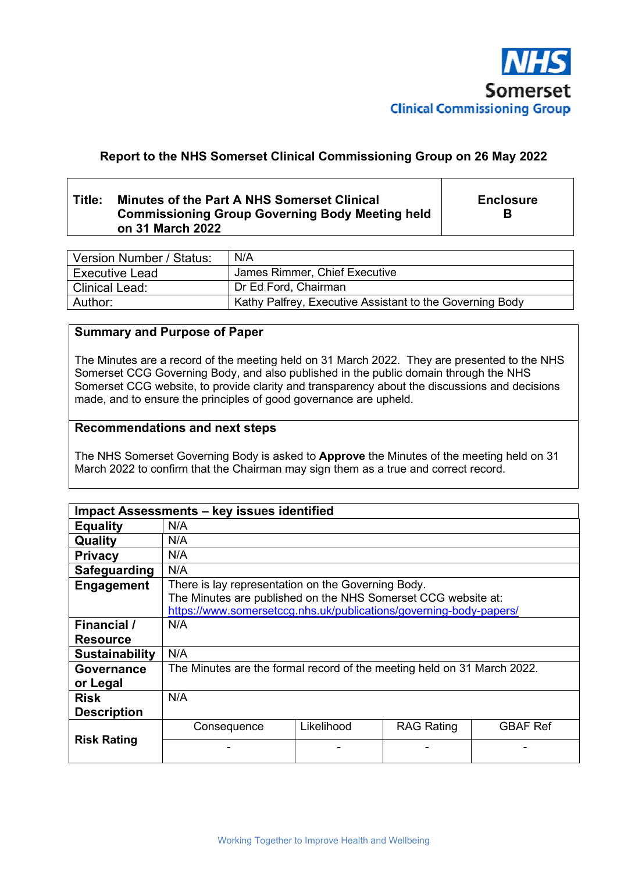

# **Report to the NHS Somerset Clinical Commissioning Group on 26 May 2022**

## **Title: Minutes of the Part A NHS Somerset Clinical Commissioning Group Governing Body Meeting held on 31 March 2022**

**Enclosure B** 

| Version Number / Status: | N/A                                                      |
|--------------------------|----------------------------------------------------------|
| <b>Executive Lead</b>    | James Rimmer, Chief Executive                            |
| <b>Clinical Lead:</b>    | Dr Ed Ford, Chairman                                     |
| Author:                  | Kathy Palfrey, Executive Assistant to the Governing Body |

## **Summary and Purpose of Paper**

The Minutes are a record of the meeting held on 31 March 2022. They are presented to the NHS Somerset CCG Governing Body, and also published in the public domain through the NHS Somerset CCG website, to provide clarity and transparency about the discussions and decisions made, and to ensure the principles of good governance are upheld.

#### **Recommendations and next steps**

The NHS Somerset Governing Body is asked to **Approve** the Minutes of the meeting held on 31 March 2022 to confirm that the Chairman may sign them as a true and correct record.

| Impact Assessments - key issues identified |                                                                                                                     |            |                   |                 |
|--------------------------------------------|---------------------------------------------------------------------------------------------------------------------|------------|-------------------|-----------------|
| <b>Equality</b>                            | N/A                                                                                                                 |            |                   |                 |
| Quality                                    | N/A                                                                                                                 |            |                   |                 |
| <b>Privacy</b>                             | N/A                                                                                                                 |            |                   |                 |
| Safeguarding                               | N/A                                                                                                                 |            |                   |                 |
| Engagement                                 | There is lay representation on the Governing Body.<br>The Minutes are published on the NHS Somerset CCG website at: |            |                   |                 |
|                                            | https://www.somersetccg.nhs.uk/publications/governing-body-papers/                                                  |            |                   |                 |
| <b>Financial</b> /                         | N/A                                                                                                                 |            |                   |                 |
| <b>Resource</b>                            |                                                                                                                     |            |                   |                 |
| <b>Sustainability</b>                      | N/A                                                                                                                 |            |                   |                 |
| <b>Governance</b>                          | The Minutes are the formal record of the meeting held on 31 March 2022.                                             |            |                   |                 |
| or Legal                                   |                                                                                                                     |            |                   |                 |
| <b>Risk</b>                                | N/A                                                                                                                 |            |                   |                 |
| <b>Description</b>                         |                                                                                                                     |            |                   |                 |
| <b>Risk Rating</b>                         | Consequence                                                                                                         | Likelihood | <b>RAG Rating</b> | <b>GBAF Ref</b> |
|                                            |                                                                                                                     |            |                   |                 |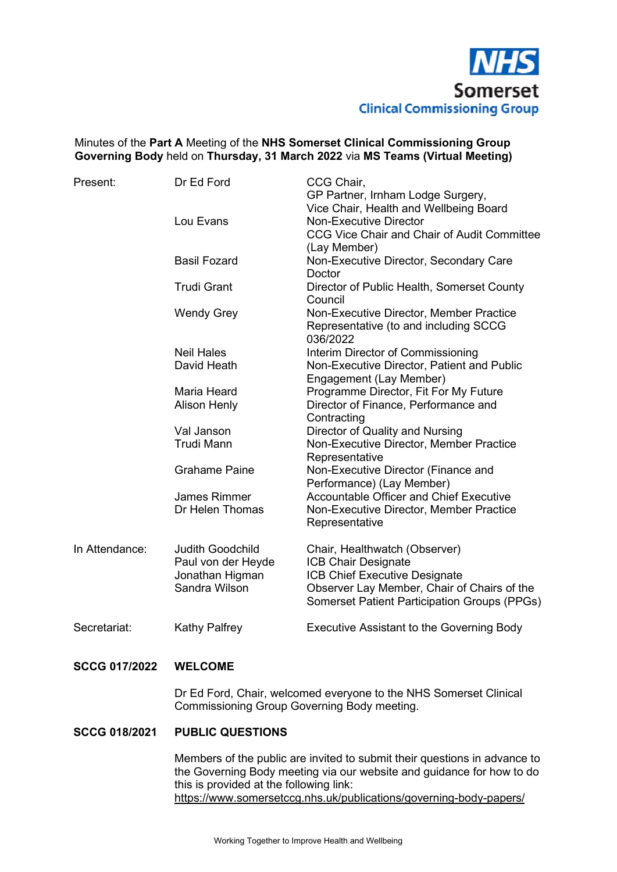

## Minutes of the **Part A** Meeting of the **NHS Somerset Clinical Commissioning Group Governing Body** held on **Thursday, 31 March 2022** via **MS Teams (Virtual Meeting)**

| Present:             | Dr Ed Ford                                                                                                       | CCG Chair,<br>GP Partner, Irnham Lodge Surgery,                                                                        |  |
|----------------------|------------------------------------------------------------------------------------------------------------------|------------------------------------------------------------------------------------------------------------------------|--|
|                      | Lou Evans                                                                                                        | Vice Chair, Health and Wellbeing Board<br><b>Non-Executive Director</b><br>CCG Vice Chair and Chair of Audit Committee |  |
|                      | <b>Basil Fozard</b>                                                                                              | (Lay Member)<br>Non-Executive Director, Secondary Care<br>Doctor                                                       |  |
|                      | <b>Trudi Grant</b>                                                                                               | Director of Public Health, Somerset County<br>Council                                                                  |  |
|                      | <b>Wendy Grey</b>                                                                                                | Non-Executive Director, Member Practice<br>Representative (to and including SCCG<br>036/2022                           |  |
|                      | <b>Neil Hales</b>                                                                                                | Interim Director of Commissioning                                                                                      |  |
|                      | David Heath                                                                                                      | Non-Executive Director, Patient and Public<br>Engagement (Lay Member)                                                  |  |
|                      | Maria Heard                                                                                                      | Programme Director, Fit For My Future                                                                                  |  |
|                      | <b>Alison Henly</b>                                                                                              | Director of Finance, Performance and<br>Contracting                                                                    |  |
|                      | Val Janson                                                                                                       | Director of Quality and Nursing                                                                                        |  |
|                      | <b>Trudi Mann</b>                                                                                                | Non-Executive Director, Member Practice<br>Representative                                                              |  |
|                      | <b>Grahame Paine</b>                                                                                             | Non-Executive Director (Finance and<br>Performance) (Lay Member)                                                       |  |
|                      | <b>James Rimmer</b>                                                                                              | <b>Accountable Officer and Chief Executive</b>                                                                         |  |
|                      | Dr Helen Thomas                                                                                                  | Non-Executive Director, Member Practice<br>Representative                                                              |  |
| In Attendance:       | <b>Judith Goodchild</b><br>Paul von der Heyde                                                                    | Chair, Healthwatch (Observer)<br><b>ICB Chair Designate</b>                                                            |  |
|                      | Jonathan Higman                                                                                                  | ICB Chief Executive Designate                                                                                          |  |
|                      | Sandra Wilson                                                                                                    | Observer Lay Member, Chair of Chairs of the                                                                            |  |
|                      |                                                                                                                  | Somerset Patient Participation Groups (PPGs)                                                                           |  |
| Secretariat:         | <b>Kathy Palfrey</b>                                                                                             | <b>Executive Assistant to the Governing Body</b>                                                                       |  |
| <b>SCCG 017/2022</b> | <b>WELCOME</b>                                                                                                   |                                                                                                                        |  |
|                      | Dr Ed Ford, Chair, welcomed everyone to the NHS Somerset Clinical<br>Commissioning Group Governing Body meeting. |                                                                                                                        |  |

## **SCCG 018/2021 PUBLIC QUESTIONS**

 Members of the public are invited to submit their questions in advance to the Governing Body meeting via our website and guidance for how to do this is provided at the following link: https://www.somersetccg.nhs.uk/publications/governing-body-papers/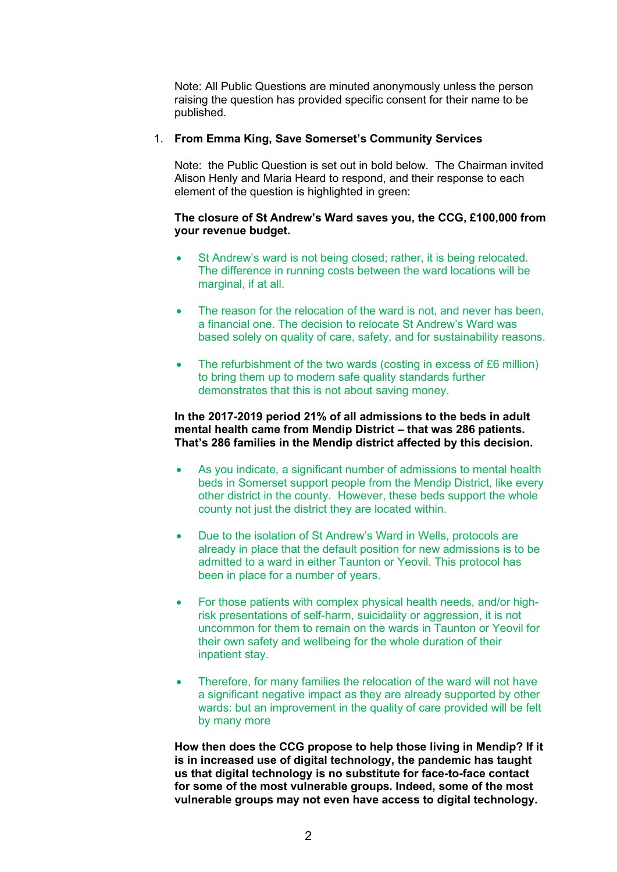Note: All Public Questions are minuted anonymously unless the person raising the question has provided specific consent for their name to be published.

## 1. **From Emma King, Save Somerset's Community Services**

 Note: the Public Question is set out in bold below. The Chairman invited Alison Henly and Maria Heard to respond, and their response to each element of the question is highlighted in green:

## **The closure of St Andrew's Ward saves you, the CCG, £100,000 from your revenue budget.**

- St Andrew's ward is not being closed; rather, it is being relocated. The difference in running costs between the ward locations will be marginal, if at all.
- The reason for the relocation of the ward is not, and never has been, a financial one. The decision to relocate St Andrew's Ward was based solely on quality of care, safety, and for sustainability reasons.
- The refurbishment of the two wards (costing in excess of £6 million) to bring them up to modern safe quality standards further demonstrates that this is not about saving money.

#### **In the 2017-2019 period 21% of all admissions to the beds in adult mental health came from Mendip District – that was 286 patients. That's 286 families in the Mendip district affected by this decision.**

- As you indicate, a significant number of admissions to mental health beds in Somerset support people from the Mendip District, like every other district in the county. However, these beds support the whole county not just the district they are located within.
- Due to the isolation of St Andrew's Ward in Wells, protocols are already in place that the default position for new admissions is to be admitted to a ward in either Taunton or Yeovil. This protocol has been in place for a number of years.
- For those patients with complex physical health needs, and/or highrisk presentations of self-harm, suicidality or aggression, it is not uncommon for them to remain on the wards in Taunton or Yeovil for their own safety and wellbeing for the whole duration of their inpatient stay.
- Therefore, for many families the relocation of the ward will not have a significant negative impact as they are already supported by other wards: but an improvement in the quality of care provided will be felt by many more

**How then does the CCG propose to help those living in Mendip? If it is in increased use of digital technology, the pandemic has taught us that digital technology is no substitute for face-to-face contact for some of the most vulnerable groups. Indeed, some of the most vulnerable groups may not even have access to digital technology.**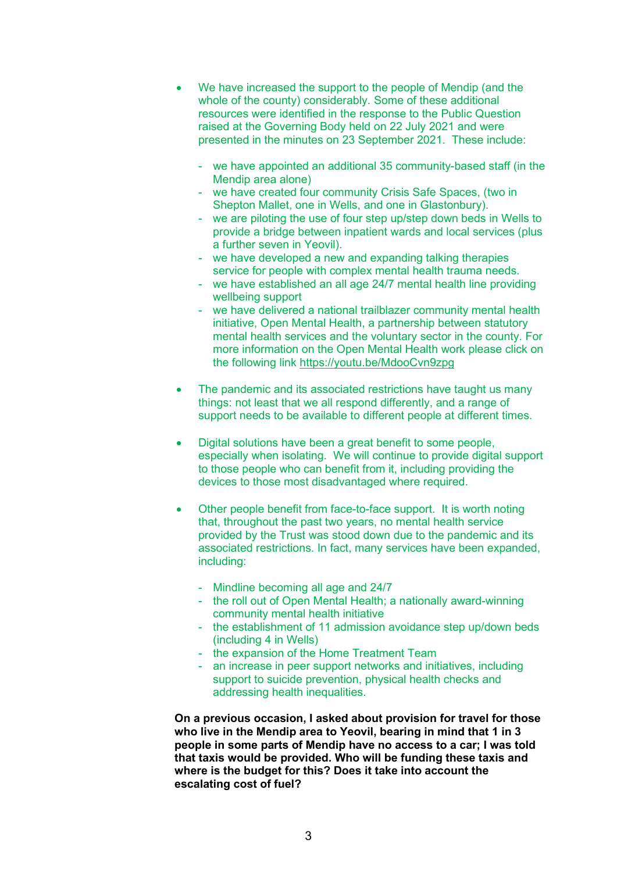- We have increased the support to the people of Mendip (and the whole of the county) considerably. Some of these additional resources were identified in the response to the Public Question raised at the Governing Body held on 22 July 2021 and were presented in the minutes on 23 September 2021. These include:
	- we have appointed an additional 35 community-based staff (in the Mendip area alone)
	- we have created four community Crisis Safe Spaces, (two in Shepton Mallet, one in Wells, and one in Glastonbury).
	- we are piloting the use of four step up/step down beds in Wells to provide a bridge between inpatient wards and local services (plus a further seven in Yeovil).
	- we have developed a new and expanding talking therapies service for people with complex mental health trauma needs.
	- we have established an all age 24/7 mental health line providing wellbeing support
	- we have delivered a national trailblazer community mental health initiative, Open Mental Health, a partnership between statutory mental health services and the voluntary sector in the county. For more information on the Open Mental Health work please click on the following link https://youtu.be/MdooCvn9zpg
- The pandemic and its associated restrictions have taught us many things: not least that we all respond differently, and a range of support needs to be available to different people at different times.
- Digital solutions have been a great benefit to some people, especially when isolating. We will continue to provide digital support to those people who can benefit from it, including providing the devices to those most disadvantaged where required.
- Other people benefit from face-to-face support. It is worth noting that, throughout the past two years, no mental health service provided by the Trust was stood down due to the pandemic and its associated restrictions. In fact, many services have been expanded, including:
	- Mindline becoming all age and 24/7
	- the roll out of Open Mental Health; a nationally award-winning community mental health initiative
	- the establishment of 11 admission avoidance step up/down beds (including 4 in Wells)
	- the expansion of the Home Treatment Team
	- an increase in peer support networks and initiatives, including support to suicide prevention, physical health checks and addressing health inequalities.

**On a previous occasion, I asked about provision for travel for those who live in the Mendip area to Yeovil, bearing in mind that 1 in 3 people in some parts of Mendip have no access to a car; I was told that taxis would be provided. Who will be funding these taxis and where is the budget for this? Does it take into account the escalating cost of fuel?**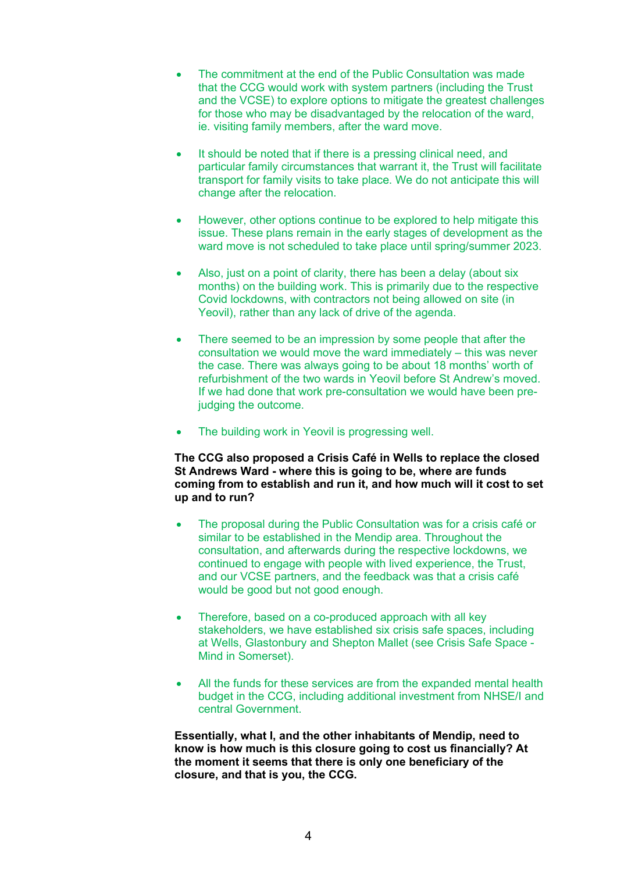- The commitment at the end of the Public Consultation was made that the CCG would work with system partners (including the Trust and the VCSE) to explore options to mitigate the greatest challenges for those who may be disadvantaged by the relocation of the ward, ie. visiting family members, after the ward move.
- It should be noted that if there is a pressing clinical need, and particular family circumstances that warrant it, the Trust will facilitate transport for family visits to take place. We do not anticipate this will change after the relocation.
- However, other options continue to be explored to help mitigate this issue. These plans remain in the early stages of development as the ward move is not scheduled to take place until spring/summer 2023.
- Also, just on a point of clarity, there has been a delay (about six months) on the building work. This is primarily due to the respective Covid lockdowns, with contractors not being allowed on site (in Yeovil), rather than any lack of drive of the agenda.
- There seemed to be an impression by some people that after the consultation we would move the ward immediately – this was never the case. There was always going to be about 18 months' worth of refurbishment of the two wards in Yeovil before St Andrew's moved. If we had done that work pre-consultation we would have been prejudging the outcome.
- The building work in Yeovil is progressing well.

## **The CCG also proposed a Crisis Café in Wells to replace the closed St Andrews Ward - where this is going to be, where are funds coming from to establish and run it, and how much will it cost to set up and to run?**

- The proposal during the Public Consultation was for a crisis café or similar to be established in the Mendip area. Throughout the consultation, and afterwards during the respective lockdowns, we continued to engage with people with lived experience, the Trust, and our VCSE partners, and the feedback was that a crisis café would be good but not good enough.
- Therefore, based on a co-produced approach with all key stakeholders, we have established six crisis safe spaces, including at Wells, Glastonbury and Shepton Mallet (see Crisis Safe Space - Mind in Somerset).
- All the funds for these services are from the expanded mental health budget in the CCG, including additional investment from NHSE/I and central Government.

**Essentially, what I, and the other inhabitants of Mendip, need to know is how much is this closure going to cost us financially? At the moment it seems that there is only one beneficiary of the closure, and that is you, the CCG.**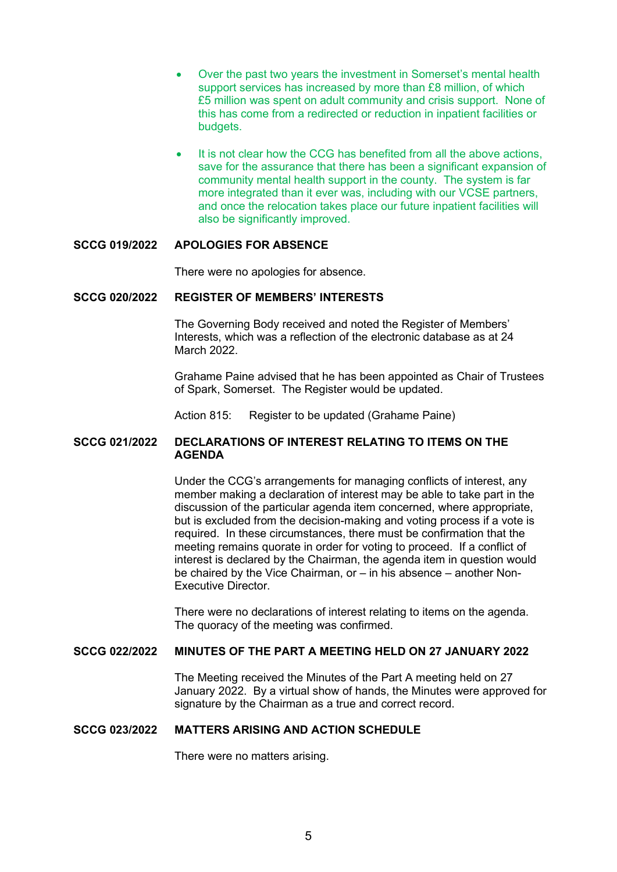- Over the past two years the investment in Somerset's mental health support services has increased by more than £8 million, of which £5 million was spent on adult community and crisis support. None of this has come from a redirected or reduction in inpatient facilities or budgets.
- It is not clear how the CCG has benefited from all the above actions, save for the assurance that there has been a significant expansion of community mental health support in the county. The system is far more integrated than it ever was, including with our VCSE partners, and once the relocation takes place our future inpatient facilities will also be significantly improved.

#### **SCCG 019/2022 APOLOGIES FOR ABSENCE**

There were no apologies for absence.

#### **SCCG 020/2022 REGISTER OF MEMBERS' INTERESTS**

 The Governing Body received and noted the Register of Members' Interests, which was a reflection of the electronic database as at 24 March 2022

Grahame Paine advised that he has been appointed as Chair of Trustees of Spark, Somerset. The Register would be updated.

Action 815: Register to be updated (Grahame Paine)

## **SCCG 021/2022 DECLARATIONS OF INTEREST RELATING TO ITEMS ON THE AGENDA**

 Under the CCG's arrangements for managing conflicts of interest, any member making a declaration of interest may be able to take part in the discussion of the particular agenda item concerned, where appropriate, but is excluded from the decision-making and voting process if a vote is required. In these circumstances, there must be confirmation that the meeting remains quorate in order for voting to proceed. If a conflict of interest is declared by the Chairman, the agenda item in question would be chaired by the Vice Chairman, or – in his absence – another Non-Executive Director.

 There were no declarations of interest relating to items on the agenda. The quoracy of the meeting was confirmed.

## **SCCG 022/2022 MINUTES OF THE PART A MEETING HELD ON 27 JANUARY 2022**

 The Meeting received the Minutes of the Part A meeting held on 27 January 2022. By a virtual show of hands, the Minutes were approved for signature by the Chairman as a true and correct record.

#### **SCCG 023/2022 MATTERS ARISING AND ACTION SCHEDULE**

There were no matters arising.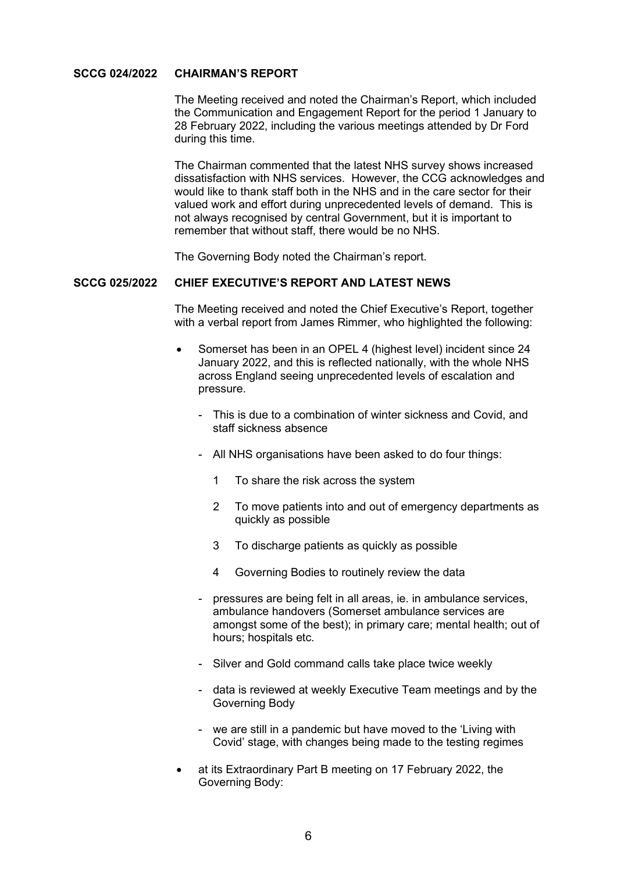## **SCCG 024/2022 CHAIRMAN'S REPORT**

 The Meeting received and noted the Chairman's Report, which included the Communication and Engagement Report for the period 1 January to 28 February 2022, including the various meetings attended by Dr Ford during this time.

 The Chairman commented that the latest NHS survey shows increased dissatisfaction with NHS services. However, the CCG acknowledges and would like to thank staff both in the NHS and in the care sector for their valued work and effort during unprecedented levels of demand. This is not always recognised by central Government, but it is important to remember that without staff, there would be no NHS.

The Governing Body noted the Chairman's report.

#### **SCCG 025/2022 CHIEF EXECUTIVE'S REPORT AND LATEST NEWS**

 The Meeting received and noted the Chief Executive's Report, together with a verbal report from James Rimmer, who highlighted the following:

- Somerset has been in an OPEL 4 (highest level) incident since 24 January 2022, and this is reflected nationally, with the whole NHS across England seeing unprecedented levels of escalation and pressure.
	- This is due to a combination of winter sickness and Covid, and staff sickness absence
	- All NHS organisations have been asked to do four things:
		- 1 To share the risk across the system
		- 2 To move patients into and out of emergency departments as quickly as possible
		- 3 To discharge patients as quickly as possible
		- 4 Governing Bodies to routinely review the data
	- pressures are being felt in all areas, ie. in ambulance services, ambulance handovers (Somerset ambulance services are amongst some of the best); in primary care; mental health; out of hours; hospitals etc.
	- Silver and Gold command calls take place twice weekly
	- data is reviewed at weekly Executive Team meetings and by the Governing Body
	- we are still in a pandemic but have moved to the 'Living with Covid' stage, with changes being made to the testing regimes
- at its Extraordinary Part B meeting on 17 February 2022, the Governing Body: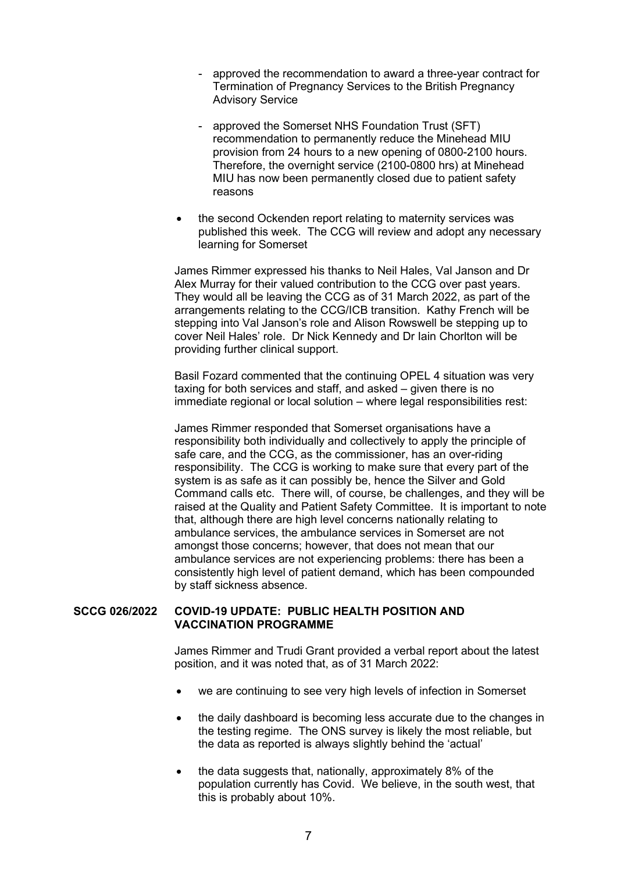- approved the recommendation to award a three-year contract for Termination of Pregnancy Services to the British Pregnancy Advisory Service
- approved the Somerset NHS Foundation Trust (SFT) recommendation to permanently reduce the Minehead MIU provision from 24 hours to a new opening of 0800-2100 hours. Therefore, the overnight service (2100-0800 hrs) at Minehead MIU has now been permanently closed due to patient safety reasons
- the second Ockenden report relating to maternity services was published this week. The CCG will review and adopt any necessary learning for Somerset

 James Rimmer expressed his thanks to Neil Hales, Val Janson and Dr Alex Murray for their valued contribution to the CCG over past years. They would all be leaving the CCG as of 31 March 2022, as part of the arrangements relating to the CCG/ICB transition. Kathy French will be stepping into Val Janson's role and Alison Rowswell be stepping up to cover Neil Hales' role. Dr Nick Kennedy and Dr Iain Chorlton will be providing further clinical support.

 Basil Fozard commented that the continuing OPEL 4 situation was very taxing for both services and staff, and asked – given there is no immediate regional or local solution – where legal responsibilities rest:

 James Rimmer responded that Somerset organisations have a responsibility both individually and collectively to apply the principle of safe care, and the CCG, as the commissioner, has an over-riding responsibility. The CCG is working to make sure that every part of the system is as safe as it can possibly be, hence the Silver and Gold Command calls etc. There will, of course, be challenges, and they will be raised at the Quality and Patient Safety Committee. It is important to note that, although there are high level concerns nationally relating to ambulance services, the ambulance services in Somerset are not amongst those concerns; however, that does not mean that our ambulance services are not experiencing problems: there has been a consistently high level of patient demand, which has been compounded by staff sickness absence.

#### **SCCG 026/2022 COVID-19 UPDATE: PUBLIC HEALTH POSITION AND VACCINATION PROGRAMME**

 James Rimmer and Trudi Grant provided a verbal report about the latest position, and it was noted that, as of 31 March 2022:

- we are continuing to see very high levels of infection in Somerset
- the daily dashboard is becoming less accurate due to the changes in the testing regime. The ONS survey is likely the most reliable, but the data as reported is always slightly behind the 'actual'
- the data suggests that, nationally, approximately 8% of the population currently has Covid. We believe, in the south west, that this is probably about 10%.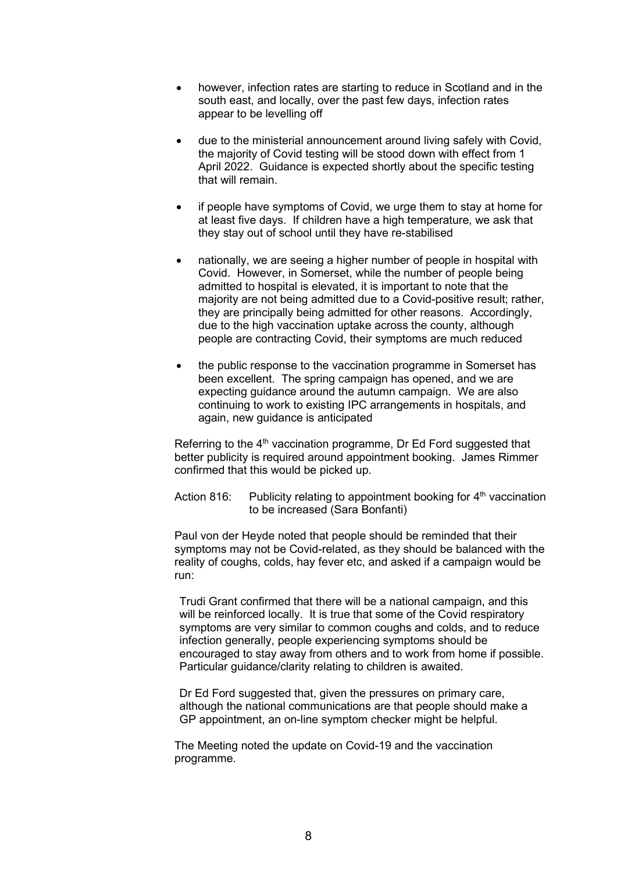- however, infection rates are starting to reduce in Scotland and in the south east, and locally, over the past few days, infection rates appear to be levelling off
- due to the ministerial announcement around living safely with Covid, the majority of Covid testing will be stood down with effect from 1 April 2022. Guidance is expected shortly about the specific testing that will remain.
- if people have symptoms of Covid, we urge them to stay at home for at least five days. If children have a high temperature, we ask that they stay out of school until they have re-stabilised
- nationally, we are seeing a higher number of people in hospital with Covid. However, in Somerset, while the number of people being admitted to hospital is elevated, it is important to note that the majority are not being admitted due to a Covid-positive result; rather, they are principally being admitted for other reasons. Accordingly, due to the high vaccination uptake across the county, although people are contracting Covid, their symptoms are much reduced
- the public response to the vaccination programme in Somerset has been excellent. The spring campaign has opened, and we are expecting guidance around the autumn campaign. We are also continuing to work to existing IPC arrangements in hospitals, and again, new guidance is anticipated

Referring to the  $4<sup>th</sup>$  vaccination programme, Dr Ed Ford suggested that better publicity is required around appointment booking. James Rimmer confirmed that this would be picked up.

Action 816: Publicity relating to appointment booking for  $4<sup>th</sup>$  vaccination to be increased (Sara Bonfanti)

 Paul von der Heyde noted that people should be reminded that their symptoms may not be Covid-related, as they should be balanced with the reality of coughs, colds, hay fever etc, and asked if a campaign would be run:

 Trudi Grant confirmed that there will be a national campaign, and this will be reinforced locally. It is true that some of the Covid respiratory symptoms are very similar to common coughs and colds, and to reduce infection generally, people experiencing symptoms should be encouraged to stay away from others and to work from home if possible. Particular guidance/clarity relating to children is awaited.

 Dr Ed Ford suggested that, given the pressures on primary care, although the national communications are that people should make a GP appointment, an on-line symptom checker might be helpful.

 The Meeting noted the update on Covid-19 and the vaccination programme.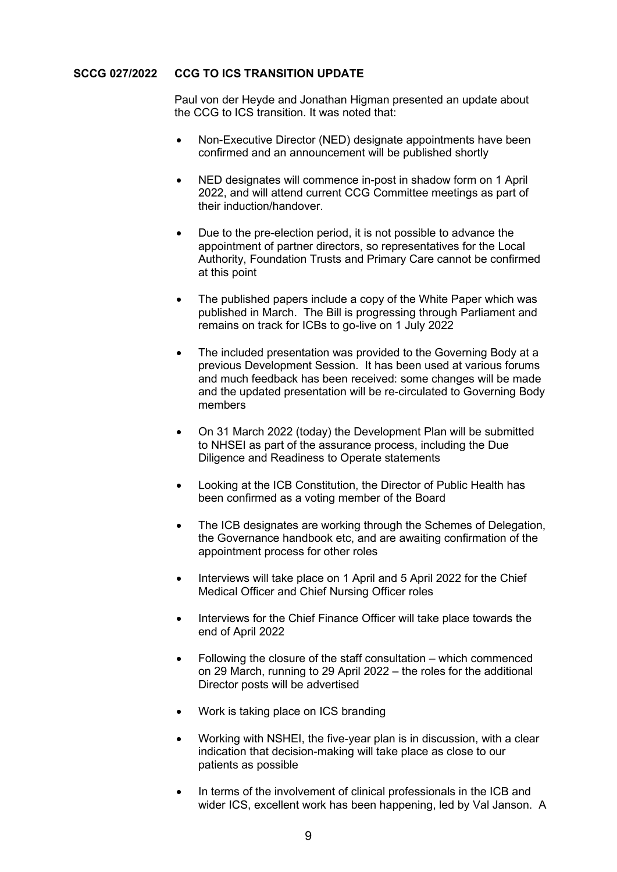## **SCCG 027/2022 CCG TO ICS TRANSITION UPDATE**

 Paul von der Heyde and Jonathan Higman presented an update about the CCG to ICS transition. It was noted that:

- Non-Executive Director (NED) designate appointments have been confirmed and an announcement will be published shortly
- NED designates will commence in-post in shadow form on 1 April 2022, and will attend current CCG Committee meetings as part of their induction/handover.
- Due to the pre-election period, it is not possible to advance the appointment of partner directors, so representatives for the Local Authority, Foundation Trusts and Primary Care cannot be confirmed at this point
- The published papers include a copy of the White Paper which was published in March. The Bill is progressing through Parliament and remains on track for ICBs to go-live on 1 July 2022
- The included presentation was provided to the Governing Body at a previous Development Session. It has been used at various forums and much feedback has been received: some changes will be made and the updated presentation will be re-circulated to Governing Body members
- On 31 March 2022 (today) the Development Plan will be submitted to NHSEI as part of the assurance process, including the Due Diligence and Readiness to Operate statements
- Looking at the ICB Constitution, the Director of Public Health has been confirmed as a voting member of the Board
- The ICB designates are working through the Schemes of Delegation, the Governance handbook etc, and are awaiting confirmation of the appointment process for other roles
- Interviews will take place on 1 April and 5 April 2022 for the Chief Medical Officer and Chief Nursing Officer roles
- Interviews for the Chief Finance Officer will take place towards the end of April 2022
- Following the closure of the staff consultation which commenced on 29 March, running to 29 April 2022 – the roles for the additional Director posts will be advertised
- Work is taking place on ICS branding
- Working with NSHEI, the five-year plan is in discussion, with a clear indication that decision-making will take place as close to our patients as possible
- In terms of the involvement of clinical professionals in the ICB and wider ICS, excellent work has been happening, led by Val Janson. A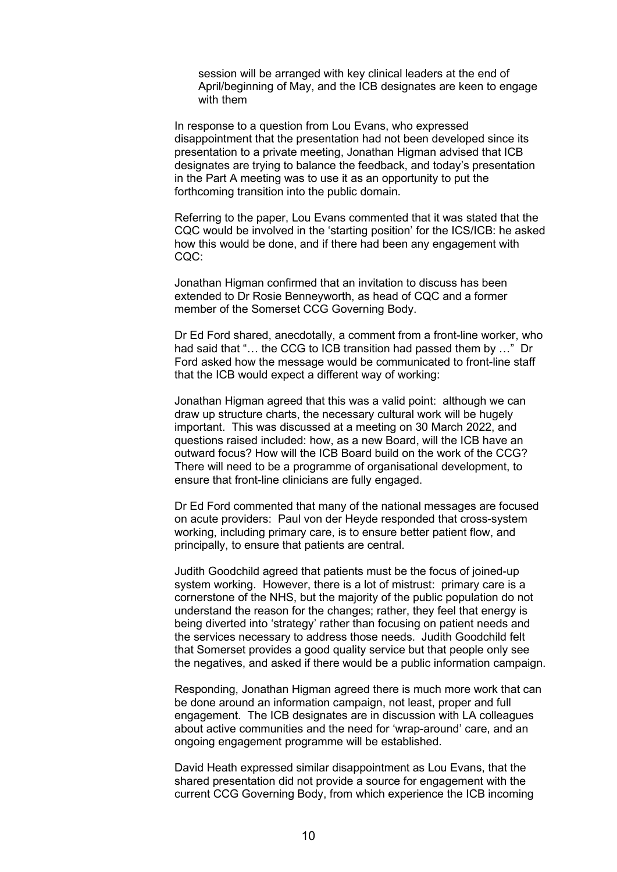session will be arranged with key clinical leaders at the end of April/beginning of May, and the ICB designates are keen to engage with them

 In response to a question from Lou Evans, who expressed disappointment that the presentation had not been developed since its presentation to a private meeting, Jonathan Higman advised that ICB designates are trying to balance the feedback, and today's presentation in the Part A meeting was to use it as an opportunity to put the forthcoming transition into the public domain.

 Referring to the paper, Lou Evans commented that it was stated that the CQC would be involved in the 'starting position' for the ICS/ICB: he asked how this would be done, and if there had been any engagement with CQC:

 Jonathan Higman confirmed that an invitation to discuss has been extended to Dr Rosie Benneyworth, as head of CQC and a former member of the Somerset CCG Governing Body.

 Dr Ed Ford shared, anecdotally, a comment from a front-line worker, who had said that "… the CCG to ICB transition had passed them by …" Dr Ford asked how the message would be communicated to front-line staff that the ICB would expect a different way of working:

 Jonathan Higman agreed that this was a valid point: although we can draw up structure charts, the necessary cultural work will be hugely important. This was discussed at a meeting on 30 March 2022, and questions raised included: how, as a new Board, will the ICB have an outward focus? How will the ICB Board build on the work of the CCG? There will need to be a programme of organisational development, to ensure that front-line clinicians are fully engaged.

 Dr Ed Ford commented that many of the national messages are focused on acute providers: Paul von der Heyde responded that cross-system working, including primary care, is to ensure better patient flow, and principally, to ensure that patients are central.

 Judith Goodchild agreed that patients must be the focus of joined-up system working. However, there is a lot of mistrust: primary care is a cornerstone of the NHS, but the majority of the public population do not understand the reason for the changes; rather, they feel that energy is being diverted into 'strategy' rather than focusing on patient needs and the services necessary to address those needs. Judith Goodchild felt that Somerset provides a good quality service but that people only see the negatives, and asked if there would be a public information campaign.

 Responding, Jonathan Higman agreed there is much more work that can be done around an information campaign, not least, proper and full engagement. The ICB designates are in discussion with LA colleagues about active communities and the need for 'wrap-around' care, and an ongoing engagement programme will be established.

 David Heath expressed similar disappointment as Lou Evans, that the shared presentation did not provide a source for engagement with the current CCG Governing Body, from which experience the ICB incoming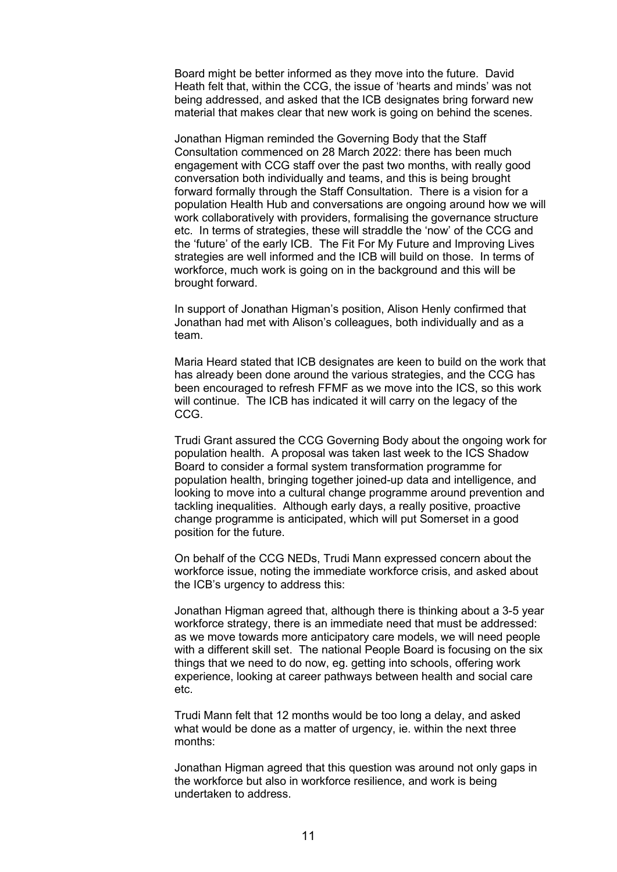Board might be better informed as they move into the future. David Heath felt that, within the CCG, the issue of 'hearts and minds' was not being addressed, and asked that the ICB designates bring forward new material that makes clear that new work is going on behind the scenes.

 Jonathan Higman reminded the Governing Body that the Staff Consultation commenced on 28 March 2022: there has been much engagement with CCG staff over the past two months, with really good conversation both individually and teams, and this is being brought forward formally through the Staff Consultation. There is a vision for a population Health Hub and conversations are ongoing around how we will work collaboratively with providers, formalising the governance structure etc. In terms of strategies, these will straddle the 'now' of the CCG and the 'future' of the early ICB. The Fit For My Future and Improving Lives strategies are well informed and the ICB will build on those. In terms of workforce, much work is going on in the background and this will be brought forward.

 In support of Jonathan Higman's position, Alison Henly confirmed that Jonathan had met with Alison's colleagues, both individually and as a team.

 Maria Heard stated that ICB designates are keen to build on the work that has already been done around the various strategies, and the CCG has been encouraged to refresh FFMF as we move into the ICS, so this work will continue. The ICB has indicated it will carry on the legacy of the CCG.

 Trudi Grant assured the CCG Governing Body about the ongoing work for population health. A proposal was taken last week to the ICS Shadow Board to consider a formal system transformation programme for population health, bringing together joined-up data and intelligence, and looking to move into a cultural change programme around prevention and tackling inequalities. Although early days, a really positive, proactive change programme is anticipated, which will put Somerset in a good position for the future.

 On behalf of the CCG NEDs, Trudi Mann expressed concern about the workforce issue, noting the immediate workforce crisis, and asked about the ICB's urgency to address this:

 Jonathan Higman agreed that, although there is thinking about a 3-5 year workforce strategy, there is an immediate need that must be addressed: as we move towards more anticipatory care models, we will need people with a different skill set. The national People Board is focusing on the six things that we need to do now, eg. getting into schools, offering work experience, looking at career pathways between health and social care etc.

 Trudi Mann felt that 12 months would be too long a delay, and asked what would be done as a matter of urgency, ie. within the next three months:

 Jonathan Higman agreed that this question was around not only gaps in the workforce but also in workforce resilience, and work is being undertaken to address.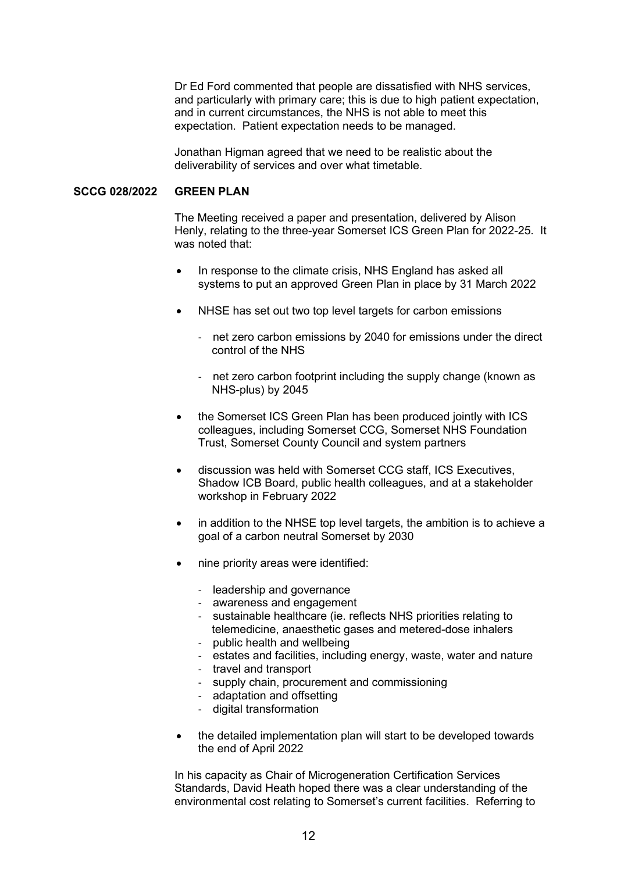Dr Ed Ford commented that people are dissatisfied with NHS services, and particularly with primary care; this is due to high patient expectation, and in current circumstances, the NHS is not able to meet this expectation. Patient expectation needs to be managed.

 Jonathan Higman agreed that we need to be realistic about the deliverability of services and over what timetable.

## **SCCG 028/2022 GREEN PLAN**

 The Meeting received a paper and presentation, delivered by Alison Henly, relating to the three-year Somerset ICS Green Plan for 2022-25. It was noted that:

- In response to the climate crisis, NHS England has asked all systems to put an approved Green Plan in place by 31 March 2022
- NHSE has set out two top level targets for carbon emissions
	- net zero carbon emissions by 2040 for emissions under the direct control of the NHS
	- net zero carbon footprint including the supply change (known as NHS-plus) by 2045
- the Somerset ICS Green Plan has been produced jointly with ICS colleagues, including Somerset CCG, Somerset NHS Foundation Trust, Somerset County Council and system partners
- discussion was held with Somerset CCG staff, ICS Executives, Shadow ICB Board, public health colleagues, and at a stakeholder workshop in February 2022
- in addition to the NHSE top level targets, the ambition is to achieve a goal of a carbon neutral Somerset by 2030
- nine priority areas were identified:
	- leadership and governance
	- awareness and engagement
	- sustainable healthcare (ie. reflects NHS priorities relating to telemedicine, anaesthetic gases and metered-dose inhalers
	- public health and wellbeing
	- estates and facilities, including energy, waste, water and nature
	- travel and transport
	- supply chain, procurement and commissioning
	- adaptation and offsetting
	- digital transformation
- the detailed implementation plan will start to be developed towards the end of April 2022

 In his capacity as Chair of Microgeneration Certification Services Standards, David Heath hoped there was a clear understanding of the environmental cost relating to Somerset's current facilities. Referring to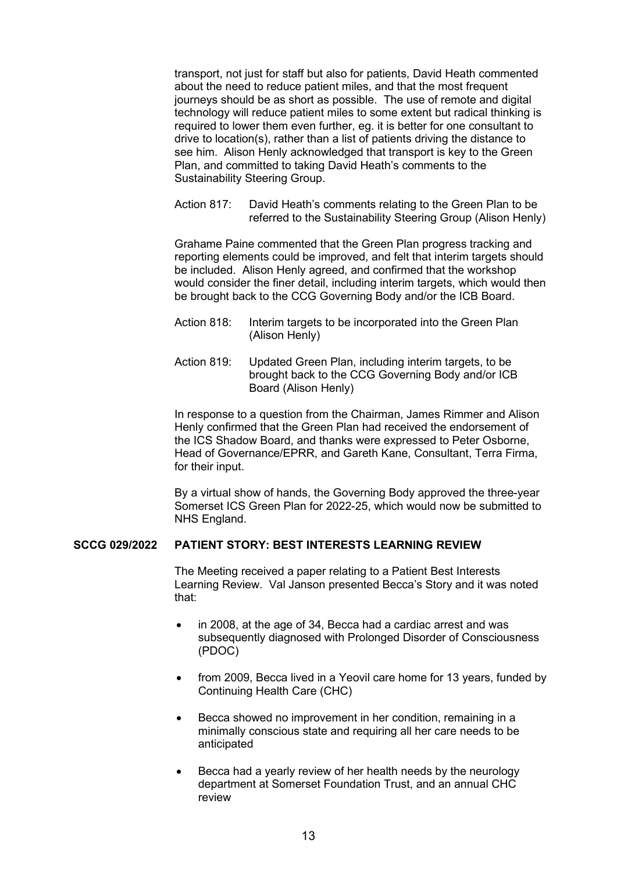transport, not just for staff but also for patients, David Heath commented about the need to reduce patient miles, and that the most frequent journeys should be as short as possible. The use of remote and digital technology will reduce patient miles to some extent but radical thinking is required to lower them even further, eg. it is better for one consultant to drive to location(s), rather than a list of patients driving the distance to see him. Alison Henly acknowledged that transport is key to the Green Plan, and committed to taking David Heath's comments to the Sustainability Steering Group.

Action 817: David Heath's comments relating to the Green Plan to be referred to the Sustainability Steering Group (Alison Henly)

 Grahame Paine commented that the Green Plan progress tracking and reporting elements could be improved, and felt that interim targets should be included. Alison Henly agreed, and confirmed that the workshop would consider the finer detail, including interim targets, which would then be brought back to the CCG Governing Body and/or the ICB Board.

- Action 818: Interim targets to be incorporated into the Green Plan (Alison Henly)
- Action 819: Updated Green Plan, including interim targets, to be brought back to the CCG Governing Body and/or ICB Board (Alison Henly)

 In response to a question from the Chairman, James Rimmer and Alison Henly confirmed that the Green Plan had received the endorsement of the ICS Shadow Board, and thanks were expressed to Peter Osborne, Head of Governance/EPRR, and Gareth Kane, Consultant, Terra Firma, for their input.

 By a virtual show of hands, the Governing Body approved the three-year Somerset ICS Green Plan for 2022-25, which would now be submitted to NHS England.

#### **SCCG 029/2022 PATIENT STORY: BEST INTERESTS LEARNING REVIEW**

 The Meeting received a paper relating to a Patient Best Interests Learning Review. Val Janson presented Becca's Story and it was noted that:

- in 2008, at the age of 34, Becca had a cardiac arrest and was subsequently diagnosed with Prolonged Disorder of Consciousness (PDOC)
- from 2009, Becca lived in a Yeovil care home for 13 years, funded by Continuing Health Care (CHC)
- Becca showed no improvement in her condition, remaining in a minimally conscious state and requiring all her care needs to be anticipated
- Becca had a yearly review of her health needs by the neurology department at Somerset Foundation Trust, and an annual CHC review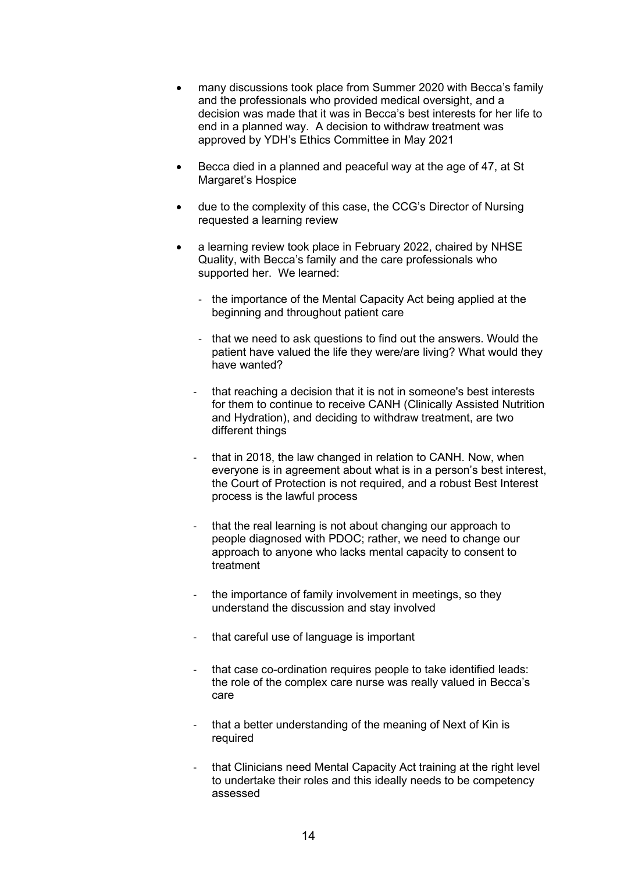- many discussions took place from Summer 2020 with Becca's family and the professionals who provided medical oversight, and a decision was made that it was in Becca's best interests for her life to end in a planned way. A decision to withdraw treatment was approved by YDH's Ethics Committee in May 2021
- Becca died in a planned and peaceful way at the age of 47, at St Margaret's Hospice
- due to the complexity of this case, the CCG's Director of Nursing requested a learning review
- a learning review took place in February 2022, chaired by NHSE Quality, with Becca's family and the care professionals who supported her. We learned:
	- the importance of the Mental Capacity Act being applied at the beginning and throughout patient care
	- that we need to ask questions to find out the answers. Would the patient have valued the life they were/are living? What would they have wanted?
	- that reaching a decision that it is not in someone's best interests for them to continue to receive CANH (Clinically Assisted Nutrition and Hydration), and deciding to withdraw treatment, are two different things
	- that in 2018, the law changed in relation to CANH. Now, when everyone is in agreement about what is in a person's best interest, the Court of Protection is not required, and a robust Best Interest process is the lawful process
	- that the real learning is not about changing our approach to people diagnosed with PDOC; rather, we need to change our approach to anyone who lacks mental capacity to consent to treatment
	- the importance of family involvement in meetings, so they understand the discussion and stay involved
	- that careful use of language is important
	- that case co-ordination requires people to take identified leads: the role of the complex care nurse was really valued in Becca's care
	- that a better understanding of the meaning of Next of Kin is required
	- that Clinicians need Mental Capacity Act training at the right level to undertake their roles and this ideally needs to be competency assessed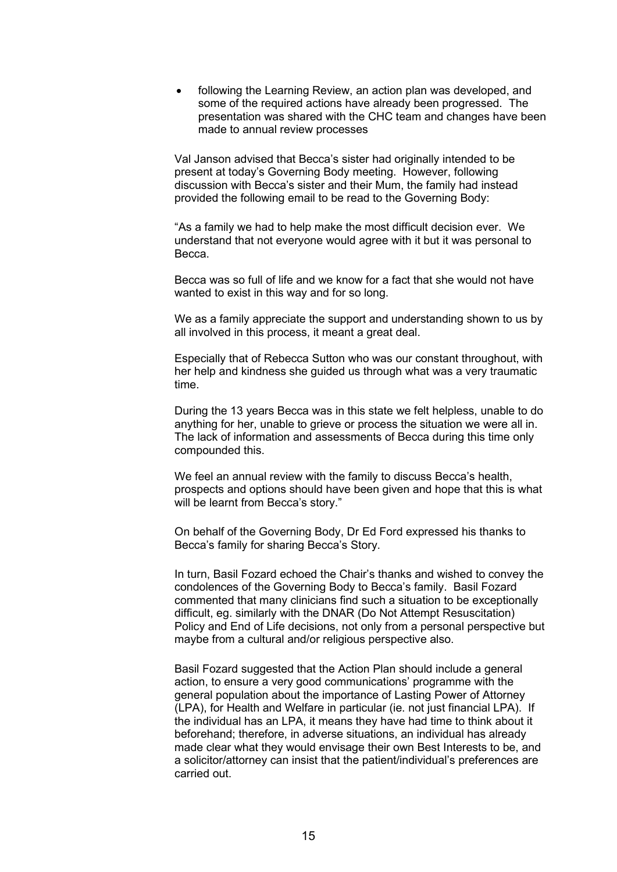following the Learning Review, an action plan was developed, and some of the required actions have already been progressed. The presentation was shared with the CHC team and changes have been made to annual review processes

 Val Janson advised that Becca's sister had originally intended to be present at today's Governing Body meeting. However, following discussion with Becca's sister and their Mum, the family had instead provided the following email to be read to the Governing Body:

 "As a family we had to help make the most difficult decision ever. We understand that not everyone would agree with it but it was personal to Becca.

Becca was so full of life and we know for a fact that she would not have wanted to exist in this way and for so long.

We as a family appreciate the support and understanding shown to us by all involved in this process, it meant a great deal.

Especially that of Rebecca Sutton who was our constant throughout, with her help and kindness she guided us through what was a very traumatic time.

During the 13 years Becca was in this state we felt helpless, unable to do anything for her, unable to grieve or process the situation we were all in. The lack of information and assessments of Becca during this time only compounded this.

We feel an annual review with the family to discuss Becca's health, prospects and options should have been given and hope that this is what will be learnt from Becca's story."

 On behalf of the Governing Body, Dr Ed Ford expressed his thanks to Becca's family for sharing Becca's Story.

 In turn, Basil Fozard echoed the Chair's thanks and wished to convey the condolences of the Governing Body to Becca's family. Basil Fozard commented that many clinicians find such a situation to be exceptionally difficult, eg. similarly with the DNAR (Do Not Attempt Resuscitation) Policy and End of Life decisions, not only from a personal perspective but maybe from a cultural and/or religious perspective also.

 Basil Fozard suggested that the Action Plan should include a general action, to ensure a very good communications' programme with the general population about the importance of Lasting Power of Attorney (LPA), for Health and Welfare in particular (ie. not just financial LPA). If the individual has an LPA, it means they have had time to think about it beforehand; therefore, in adverse situations, an individual has already made clear what they would envisage their own Best Interests to be, and a solicitor/attorney can insist that the patient/individual's preferences are carried out.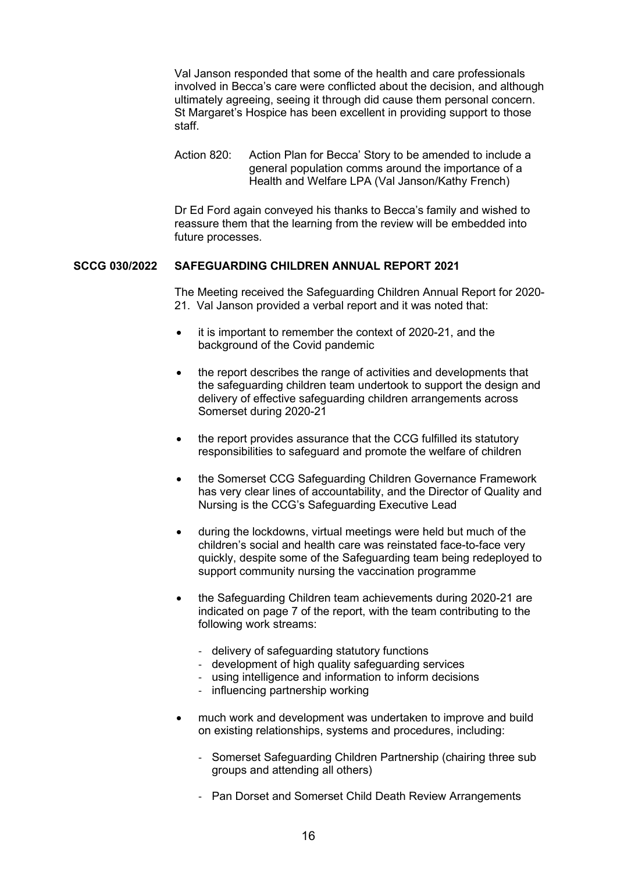Val Janson responded that some of the health and care professionals involved in Becca's care were conflicted about the decision, and although ultimately agreeing, seeing it through did cause them personal concern. St Margaret's Hospice has been excellent in providing support to those staff.

 Action 820: Action Plan for Becca' Story to be amended to include a general population comms around the importance of a Health and Welfare LPA (Val Janson/Kathy French)

 Dr Ed Ford again conveyed his thanks to Becca's family and wished to reassure them that the learning from the review will be embedded into future processes.

#### **SCCG 030/2022 SAFEGUARDING CHILDREN ANNUAL REPORT 2021**

 The Meeting received the Safeguarding Children Annual Report for 2020- 21. Val Janson provided a verbal report and it was noted that:

- it is important to remember the context of 2020-21, and the background of the Covid pandemic
- the report describes the range of activities and developments that the safeguarding children team undertook to support the design and delivery of effective safeguarding children arrangements across Somerset during 2020-21
- the report provides assurance that the CCG fulfilled its statutory responsibilities to safeguard and promote the welfare of children
- the Somerset CCG Safeguarding Children Governance Framework has very clear lines of accountability, and the Director of Quality and Nursing is the CCG's Safeguarding Executive Lead
- during the lockdowns, virtual meetings were held but much of the children's social and health care was reinstated face-to-face very quickly, despite some of the Safeguarding team being redeployed to support community nursing the vaccination programme
- the Safeguarding Children team achievements during 2020-21 are indicated on page 7 of the report, with the team contributing to the following work streams:
	- delivery of safeguarding statutory functions
	- development of high quality safeguarding services
	- using intelligence and information to inform decisions
	- influencing partnership working
- much work and development was undertaken to improve and build on existing relationships, systems and procedures, including:
	- Somerset Safeguarding Children Partnership (chairing three sub groups and attending all others)
	- Pan Dorset and Somerset Child Death Review Arrangements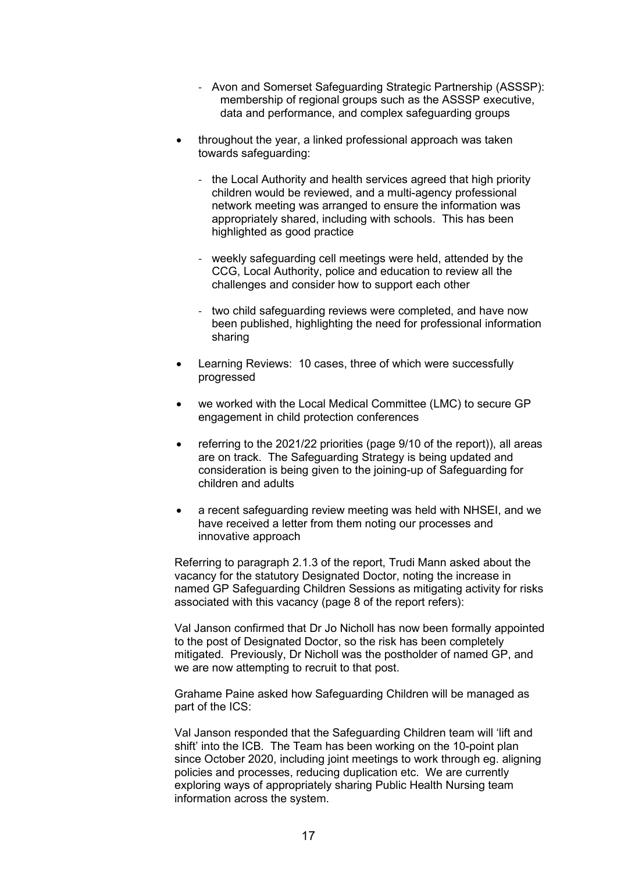- Avon and Somerset Safeguarding Strategic Partnership (ASSSP): membership of regional groups such as the ASSSP executive, data and performance, and complex safeguarding groups
- throughout the year, a linked professional approach was taken towards safeguarding:
	- the Local Authority and health services agreed that high priority children would be reviewed, and a multi-agency professional network meeting was arranged to ensure the information was appropriately shared, including with schools. This has been highlighted as good practice
	- weekly safeguarding cell meetings were held, attended by the CCG, Local Authority, police and education to review all the challenges and consider how to support each other
	- two child safeguarding reviews were completed, and have now been published, highlighting the need for professional information sharing
- Learning Reviews: 10 cases, three of which were successfully progressed
- we worked with the Local Medical Committee (LMC) to secure GP engagement in child protection conferences
- referring to the 2021/22 priorities (page 9/10 of the report)), all areas are on track. The Safeguarding Strategy is being updated and consideration is being given to the joining-up of Safeguarding for children and adults
- a recent safeguarding review meeting was held with NHSEI, and we have received a letter from them noting our processes and innovative approach

 Referring to paragraph 2.1.3 of the report, Trudi Mann asked about the vacancy for the statutory Designated Doctor, noting the increase in named GP Safeguarding Children Sessions as mitigating activity for risks associated with this vacancy (page 8 of the report refers):

 Val Janson confirmed that Dr Jo Nicholl has now been formally appointed to the post of Designated Doctor, so the risk has been completely mitigated. Previously, Dr Nicholl was the postholder of named GP, and we are now attempting to recruit to that post.

 Grahame Paine asked how Safeguarding Children will be managed as part of the ICS:

 Val Janson responded that the Safeguarding Children team will 'lift and shift' into the ICB. The Team has been working on the 10-point plan since October 2020, including joint meetings to work through eg. aligning policies and processes, reducing duplication etc. We are currently exploring ways of appropriately sharing Public Health Nursing team information across the system.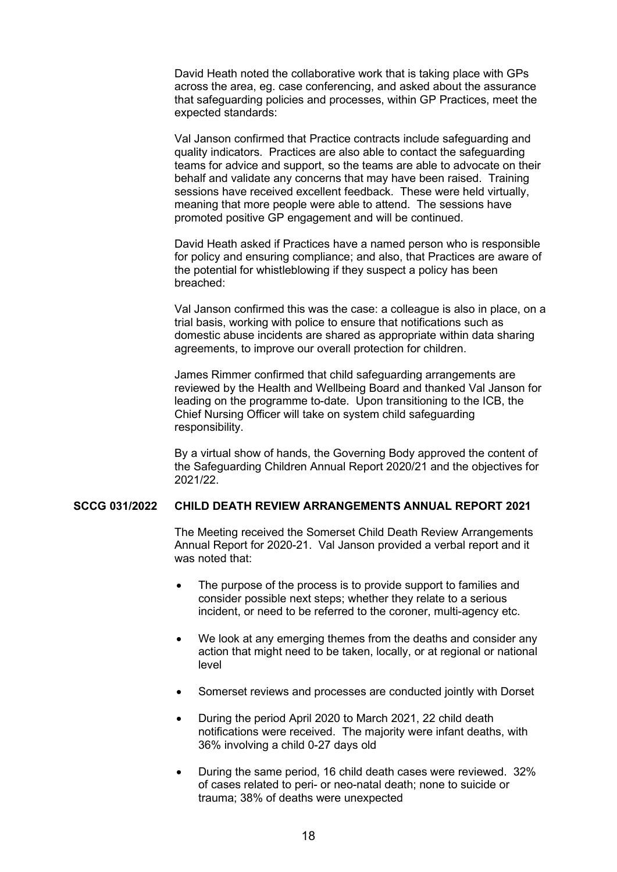David Heath noted the collaborative work that is taking place with GPs across the area, eg. case conferencing, and asked about the assurance that safeguarding policies and processes, within GP Practices, meet the expected standards:

 Val Janson confirmed that Practice contracts include safeguarding and quality indicators. Practices are also able to contact the safeguarding teams for advice and support, so the teams are able to advocate on their behalf and validate any concerns that may have been raised. Training sessions have received excellent feedback. These were held virtually, meaning that more people were able to attend. The sessions have promoted positive GP engagement and will be continued.

 David Heath asked if Practices have a named person who is responsible for policy and ensuring compliance; and also, that Practices are aware of the potential for whistleblowing if they suspect a policy has been breached:

 Val Janson confirmed this was the case: a colleague is also in place, on a trial basis, working with police to ensure that notifications such as domestic abuse incidents are shared as appropriate within data sharing agreements, to improve our overall protection for children.

 James Rimmer confirmed that child safeguarding arrangements are reviewed by the Health and Wellbeing Board and thanked Val Janson for leading on the programme to-date. Upon transitioning to the ICB, the Chief Nursing Officer will take on system child safeguarding responsibility.

 By a virtual show of hands, the Governing Body approved the content of the Safeguarding Children Annual Report 2020/21 and the objectives for 2021/22.

## **SCCG 031/2022 CHILD DEATH REVIEW ARRANGEMENTS ANNUAL REPORT 2021**

 The Meeting received the Somerset Child Death Review Arrangements Annual Report for 2020-21. Val Janson provided a verbal report and it was noted that:

- The purpose of the process is to provide support to families and consider possible next steps; whether they relate to a serious incident, or need to be referred to the coroner, multi-agency etc.
- We look at any emerging themes from the deaths and consider any action that might need to be taken, locally, or at regional or national level
- Somerset reviews and processes are conducted jointly with Dorset
- During the period April 2020 to March 2021, 22 child death notifications were received. The majority were infant deaths, with 36% involving a child 0-27 days old
- During the same period, 16 child death cases were reviewed. 32% of cases related to peri- or neo-natal death; none to suicide or trauma; 38% of deaths were unexpected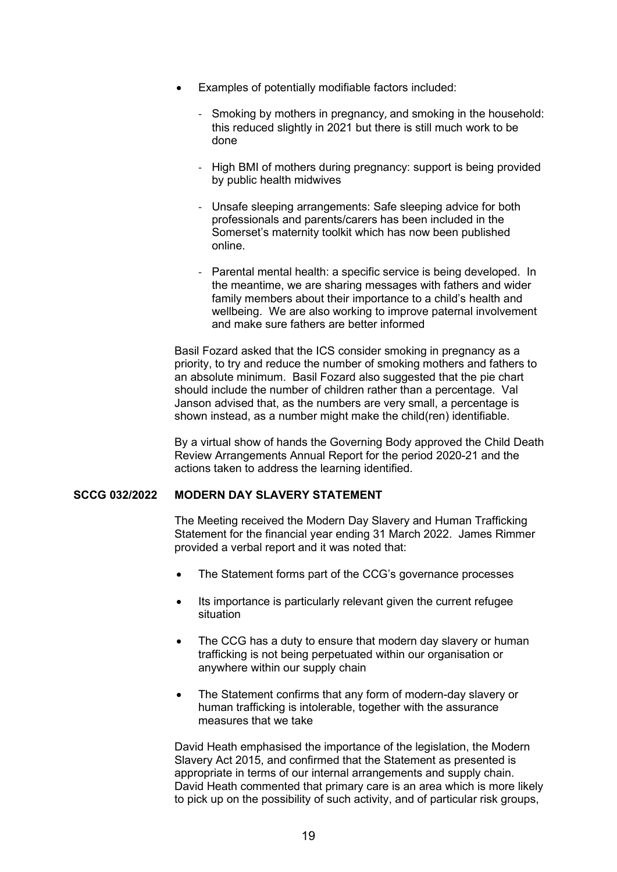- Examples of potentially modifiable factors included:
	- Smoking by mothers in pregnancy, and smoking in the household: this reduced slightly in 2021 but there is still much work to be done
	- High BMI of mothers during pregnancy: support is being provided by public health midwives
	- Unsafe sleeping arrangements: Safe sleeping advice for both professionals and parents/carers has been included in the Somerset's maternity toolkit which has now been published online.
	- Parental mental health: a specific service is being developed. In the meantime, we are sharing messages with fathers and wider family members about their importance to a child's health and wellbeing. We are also working to improve paternal involvement and make sure fathers are better informed

 Basil Fozard asked that the ICS consider smoking in pregnancy as a priority, to try and reduce the number of smoking mothers and fathers to an absolute minimum. Basil Fozard also suggested that the pie chart should include the number of children rather than a percentage. Val Janson advised that, as the numbers are very small, a percentage is shown instead, as a number might make the child(ren) identifiable.

 By a virtual show of hands the Governing Body approved the Child Death Review Arrangements Annual Report for the period 2020-21 and the actions taken to address the learning identified.

## **SCCG 032/2022 MODERN DAY SLAVERY STATEMENT**

 The Meeting received the Modern Day Slavery and Human Trafficking Statement for the financial year ending 31 March 2022. James Rimmer provided a verbal report and it was noted that:

- The Statement forms part of the CCG's governance processes
- Its importance is particularly relevant given the current refugee situation
- The CCG has a duty to ensure that modern day slavery or human trafficking is not being perpetuated within our organisation or anywhere within our supply chain
- The Statement confirms that any form of modern-day slavery or human trafficking is intolerable, together with the assurance measures that we take

 David Heath emphasised the importance of the legislation, the Modern Slavery Act 2015, and confirmed that the Statement as presented is appropriate in terms of our internal arrangements and supply chain. David Heath commented that primary care is an area which is more likely to pick up on the possibility of such activity, and of particular risk groups,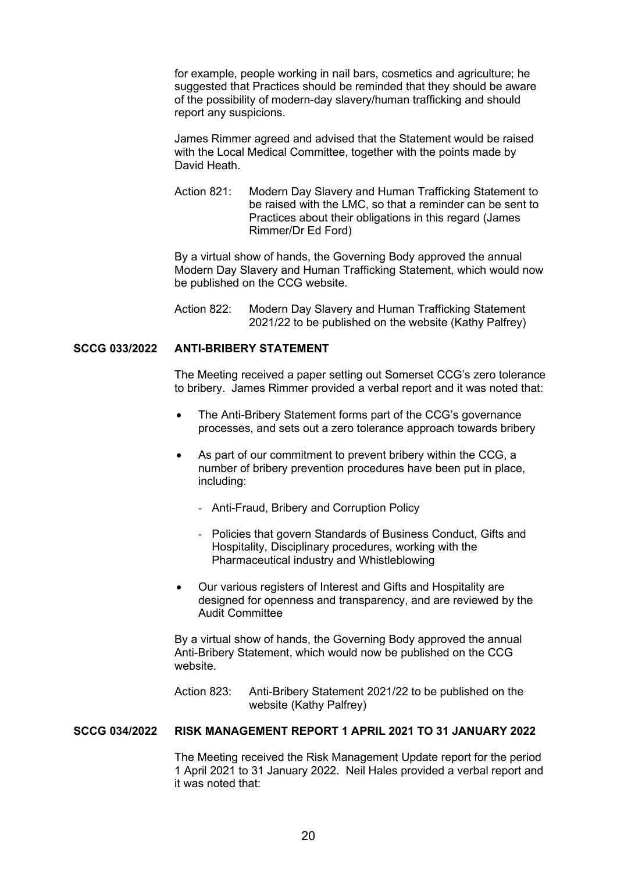for example, people working in nail bars, cosmetics and agriculture; he suggested that Practices should be reminded that they should be aware of the possibility of modern-day slavery/human trafficking and should report any suspicions.

 James Rimmer agreed and advised that the Statement would be raised with the Local Medical Committee, together with the points made by David Heath.

Action 821: Modern Day Slavery and Human Trafficking Statement to be raised with the LMC, so that a reminder can be sent to Practices about their obligations in this regard (James Rimmer/Dr Ed Ford)

 By a virtual show of hands, the Governing Body approved the annual Modern Day Slavery and Human Trafficking Statement, which would now be published on the CCG website.

 Action 822: Modern Day Slavery and Human Trafficking Statement 2021/22 to be published on the website (Kathy Palfrey)

## **SCCG 033/2022 ANTI-BRIBERY STATEMENT**

 The Meeting received a paper setting out Somerset CCG's zero tolerance to bribery. James Rimmer provided a verbal report and it was noted that:

- The Anti-Bribery Statement forms part of the CCG's governance processes, and sets out a zero tolerance approach towards bribery
- As part of our commitment to prevent bribery within the CCG, a number of bribery prevention procedures have been put in place, including:
	- Anti-Fraud, Bribery and Corruption Policy
	- Policies that govern Standards of Business Conduct, Gifts and Hospitality, Disciplinary procedures, working with the Pharmaceutical industry and Whistleblowing
- Our various registers of Interest and Gifts and Hospitality are designed for openness and transparency, and are reviewed by the Audit Committee

 By a virtual show of hands, the Governing Body approved the annual Anti-Bribery Statement, which would now be published on the CCG website.

 Action 823: Anti-Bribery Statement 2021/22 to be published on the website (Kathy Palfrey)

## **SCCG 034/2022 RISK MANAGEMENT REPORT 1 APRIL 2021 TO 31 JANUARY 2022**

 The Meeting received the Risk Management Update report for the period 1 April 2021 to 31 January 2022. Neil Hales provided a verbal report and it was noted that: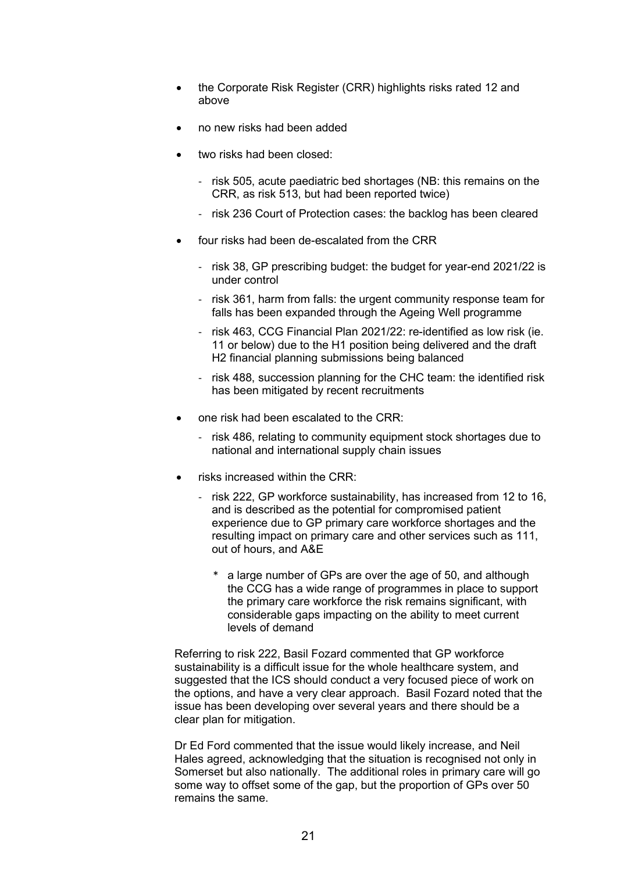- the Corporate Risk Register (CRR) highlights risks rated 12 and above
- no new risks had been added
- two risks had been closed:
	- risk 505, acute paediatric bed shortages (NB: this remains on the CRR, as risk 513, but had been reported twice)
	- risk 236 Court of Protection cases: the backlog has been cleared
- four risks had been de-escalated from the CRR
	- risk 38, GP prescribing budget: the budget for year-end 2021/22 is under control
	- risk 361, harm from falls: the urgent community response team for falls has been expanded through the Ageing Well programme
	- risk 463, CCG Financial Plan 2021/22: re-identified as low risk (ie. 11 or below) due to the H1 position being delivered and the draft H2 financial planning submissions being balanced
	- risk 488, succession planning for the CHC team: the identified risk has been mitigated by recent recruitments
- one risk had been escalated to the CRR:
	- risk 486, relating to community equipment stock shortages due to national and international supply chain issues
- risks increased within the CRR:
	- risk 222, GP workforce sustainability, has increased from 12 to 16, and is described as the potential for compromised patient experience due to GP primary care workforce shortages and the resulting impact on primary care and other services such as 111, out of hours, and A&E
		- a large number of GPs are over the age of 50, and although the CCG has a wide range of programmes in place to support the primary care workforce the risk remains significant, with considerable gaps impacting on the ability to meet current levels of demand

 Referring to risk 222, Basil Fozard commented that GP workforce sustainability is a difficult issue for the whole healthcare system, and suggested that the ICS should conduct a very focused piece of work on the options, and have a very clear approach. Basil Fozard noted that the issue has been developing over several years and there should be a clear plan for mitigation.

 Dr Ed Ford commented that the issue would likely increase, and Neil Hales agreed, acknowledging that the situation is recognised not only in Somerset but also nationally. The additional roles in primary care will go some way to offset some of the gap, but the proportion of GPs over 50 remains the same.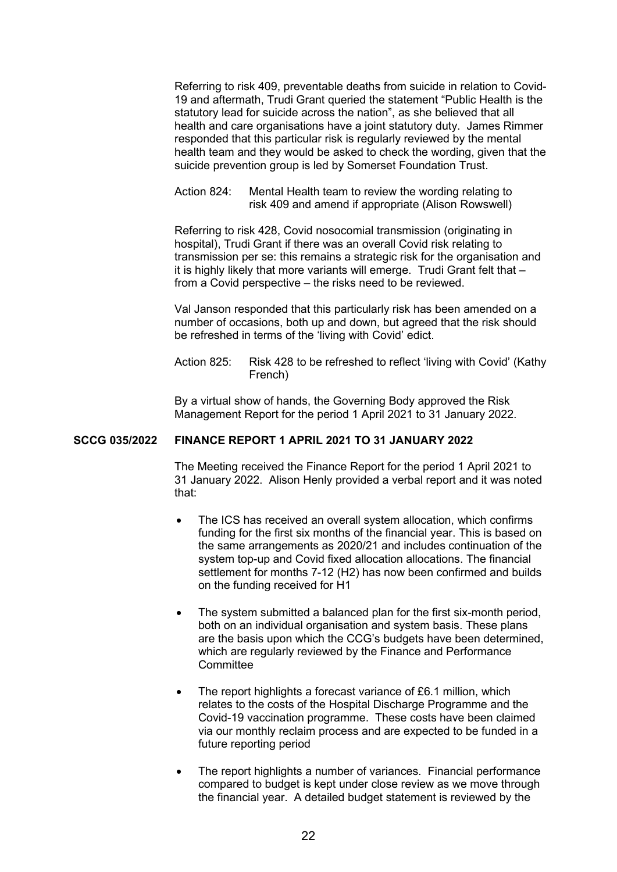Referring to risk 409, preventable deaths from suicide in relation to Covid-19 and aftermath, Trudi Grant queried the statement "Public Health is the statutory lead for suicide across the nation", as she believed that all health and care organisations have a joint statutory duty. James Rimmer responded that this particular risk is regularly reviewed by the mental health team and they would be asked to check the wording, given that the suicide prevention group is led by Somerset Foundation Trust.

 Action 824: Mental Health team to review the wording relating to risk 409 and amend if appropriate (Alison Rowswell)

 Referring to risk 428, Covid nosocomial transmission (originating in hospital), Trudi Grant if there was an overall Covid risk relating to transmission per se: this remains a strategic risk for the organisation and it is highly likely that more variants will emerge. Trudi Grant felt that – from a Covid perspective – the risks need to be reviewed.

 Val Janson responded that this particularly risk has been amended on a number of occasions, both up and down, but agreed that the risk should be refreshed in terms of the 'living with Covid' edict.

Action 825: Risk 428 to be refreshed to reflect 'living with Covid' (Kathy French)

 By a virtual show of hands, the Governing Body approved the Risk Management Report for the period 1 April 2021 to 31 January 2022.

## **SCCG 035/2022 FINANCE REPORT 1 APRIL 2021 TO 31 JANUARY 2022**

 The Meeting received the Finance Report for the period 1 April 2021 to 31 January 2022. Alison Henly provided a verbal report and it was noted that:

- The ICS has received an overall system allocation, which confirms funding for the first six months of the financial year. This is based on the same arrangements as 2020/21 and includes continuation of the system top-up and Covid fixed allocation allocations. The financial settlement for months 7-12 (H2) has now been confirmed and builds on the funding received for H1
- The system submitted a balanced plan for the first six-month period, both on an individual organisation and system basis. These plans are the basis upon which the CCG's budgets have been determined, which are regularly reviewed by the Finance and Performance **Committee**
- The report highlights a forecast variance of £6.1 million, which relates to the costs of the Hospital Discharge Programme and the Covid-19 vaccination programme. These costs have been claimed via our monthly reclaim process and are expected to be funded in a future reporting period
- The report highlights a number of variances. Financial performance compared to budget is kept under close review as we move through the financial year. A detailed budget statement is reviewed by the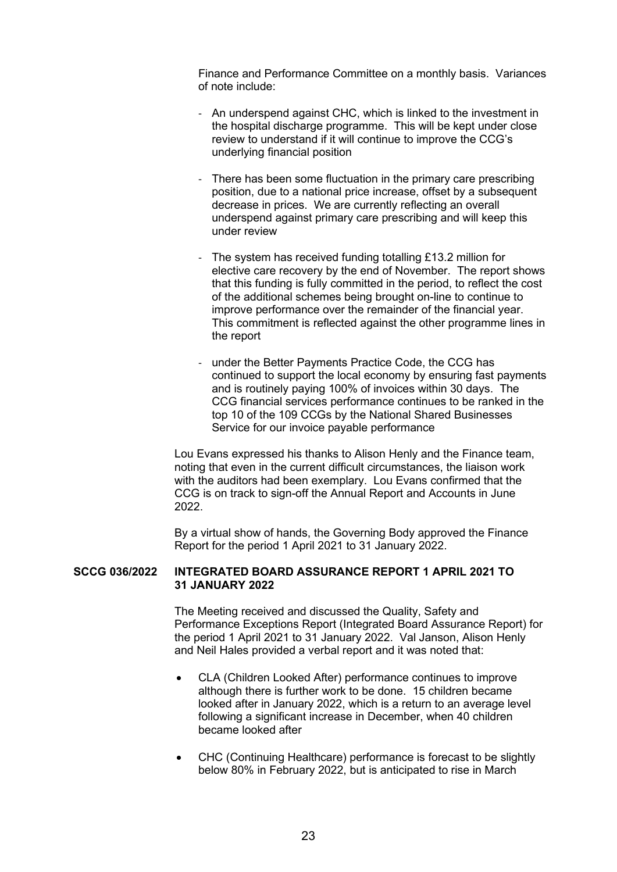Finance and Performance Committee on a monthly basis. Variances of note include:

- An underspend against CHC, which is linked to the investment in the hospital discharge programme. This will be kept under close review to understand if it will continue to improve the CCG's underlying financial position
- There has been some fluctuation in the primary care prescribing position, due to a national price increase, offset by a subsequent decrease in prices. We are currently reflecting an overall underspend against primary care prescribing and will keep this under review
- The system has received funding totalling £13.2 million for elective care recovery by the end of November. The report shows that this funding is fully committed in the period, to reflect the cost of the additional schemes being brought on-line to continue to improve performance over the remainder of the financial year. This commitment is reflected against the other programme lines in the report
- under the Better Payments Practice Code, the CCG has continued to support the local economy by ensuring fast payments and is routinely paying 100% of invoices within 30 days. The CCG financial services performance continues to be ranked in the top 10 of the 109 CCGs by the National Shared Businesses Service for our invoice payable performance

 Lou Evans expressed his thanks to Alison Henly and the Finance team, noting that even in the current difficult circumstances, the liaison work with the auditors had been exemplary. Lou Evans confirmed that the CCG is on track to sign-off the Annual Report and Accounts in June 2022.

 By a virtual show of hands, the Governing Body approved the Finance Report for the period 1 April 2021 to 31 January 2022.

#### **SCCG 036/2022 INTEGRATED BOARD ASSURANCE REPORT 1 APRIL 2021 TO 31 JANUARY 2022**

 The Meeting received and discussed the Quality, Safety and Performance Exceptions Report (Integrated Board Assurance Report) for the period 1 April 2021 to 31 January 2022. Val Janson, Alison Henly and Neil Hales provided a verbal report and it was noted that:

- CLA (Children Looked After) performance continues to improve although there is further work to be done. 15 children became looked after in January 2022, which is a return to an average level following a significant increase in December, when 40 children became looked after
- CHC (Continuing Healthcare) performance is forecast to be slightly below 80% in February 2022, but is anticipated to rise in March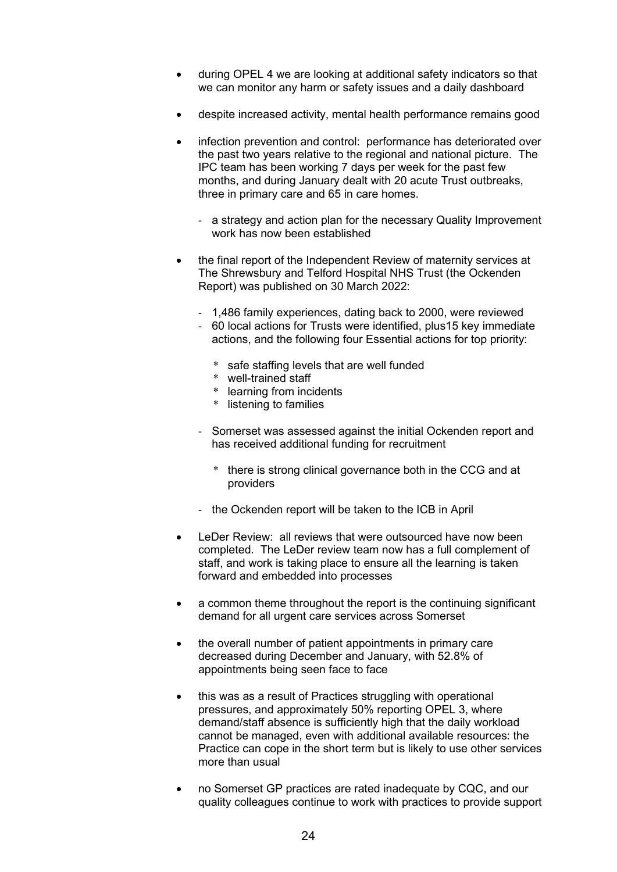- during OPEL 4 we are looking at additional safety indicators so that we can monitor any harm or safety issues and a daily dashboard
- despite increased activity, mental health performance remains good
- infection prevention and control: performance has deteriorated over the past two years relative to the regional and national picture. The IPC team has been working 7 days per week for the past few months, and during January dealt with 20 acute Trust outbreaks, three in primary care and 65 in care homes.
	- a strategy and action plan for the necessary Quality Improvement work has now been established
- the final report of the Independent Review of maternity services at The Shrewsbury and Telford Hospital NHS Trust (the Ockenden Report) was published on 30 March 2022:
	- 1,486 family experiences, dating back to 2000, were reviewed
	- 60 local actions for Trusts were identified, plus15 key immediate actions, and the following four Essential actions for top priority:
		- \* safe staffing levels that are well funded
		- \* well-trained staff
		- \* learning from incidents
		- \* listening to families
	- Somerset was assessed against the initial Ockenden report and has received additional funding for recruitment
		- \* there is strong clinical governance both in the CCG and at providers
	- the Ockenden report will be taken to the ICB in April
- LeDer Review: all reviews that were outsourced have now been completed. The LeDer review team now has a full complement of staff, and work is taking place to ensure all the learning is taken forward and embedded into processes
- a common theme throughout the report is the continuing significant demand for all urgent care services across Somerset
- the overall number of patient appointments in primary care decreased during December and January, with 52.8% of appointments being seen face to face
- this was as a result of Practices struggling with operational pressures, and approximately 50% reporting OPEL 3, where demand/staff absence is sufficiently high that the daily workload cannot be managed, even with additional available resources: the Practice can cope in the short term but is likely to use other services more than usual
- no Somerset GP practices are rated inadequate by CQC, and our quality colleagues continue to work with practices to provide support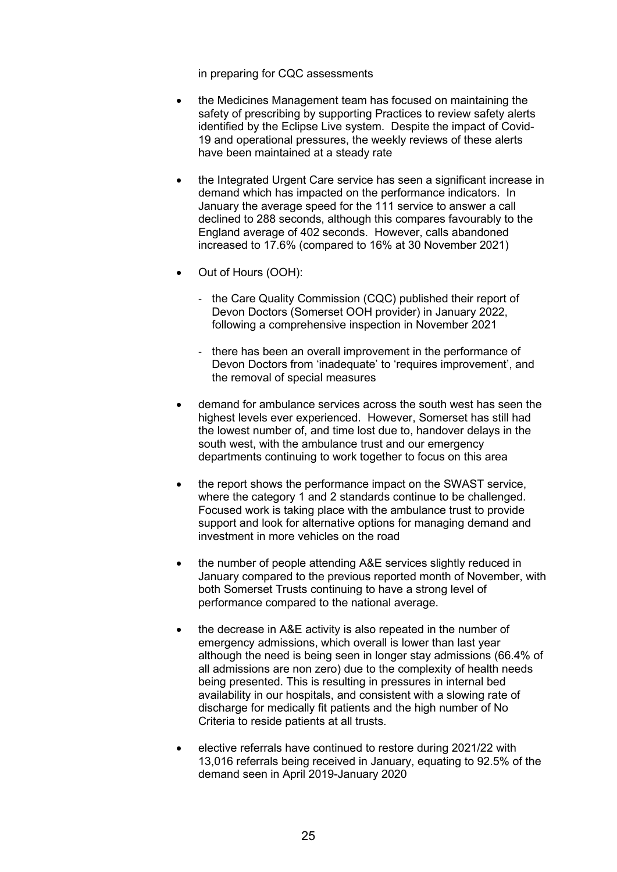in preparing for CQC assessments

- the Medicines Management team has focused on maintaining the safety of prescribing by supporting Practices to review safety alerts identified by the Eclipse Live system. Despite the impact of Covid-19 and operational pressures, the weekly reviews of these alerts have been maintained at a steady rate
- the Integrated Urgent Care service has seen a significant increase in demand which has impacted on the performance indicators. In January the average speed for the 111 service to answer a call declined to 288 seconds, although this compares favourably to the England average of 402 seconds. However, calls abandoned increased to 17.6% (compared to 16% at 30 November 2021)
- Out of Hours (OOH):
	- the Care Quality Commission (CQC) published their report of Devon Doctors (Somerset OOH provider) in January 2022, following a comprehensive inspection in November 2021
	- there has been an overall improvement in the performance of Devon Doctors from 'inadequate' to 'requires improvement', and the removal of special measures
- demand for ambulance services across the south west has seen the highest levels ever experienced. However, Somerset has still had the lowest number of, and time lost due to, handover delays in the south west, with the ambulance trust and our emergency departments continuing to work together to focus on this area
- the report shows the performance impact on the SWAST service. where the category 1 and 2 standards continue to be challenged. Focused work is taking place with the ambulance trust to provide support and look for alternative options for managing demand and investment in more vehicles on the road
- the number of people attending A&E services slightly reduced in January compared to the previous reported month of November, with both Somerset Trusts continuing to have a strong level of performance compared to the national average.
- the decrease in A&E activity is also repeated in the number of emergency admissions, which overall is lower than last year although the need is being seen in longer stay admissions (66.4% of all admissions are non zero) due to the complexity of health needs being presented. This is resulting in pressures in internal bed availability in our hospitals, and consistent with a slowing rate of discharge for medically fit patients and the high number of No Criteria to reside patients at all trusts.
- elective referrals have continued to restore during 2021/22 with 13,016 referrals being received in January, equating to 92.5% of the demand seen in April 2019-January 2020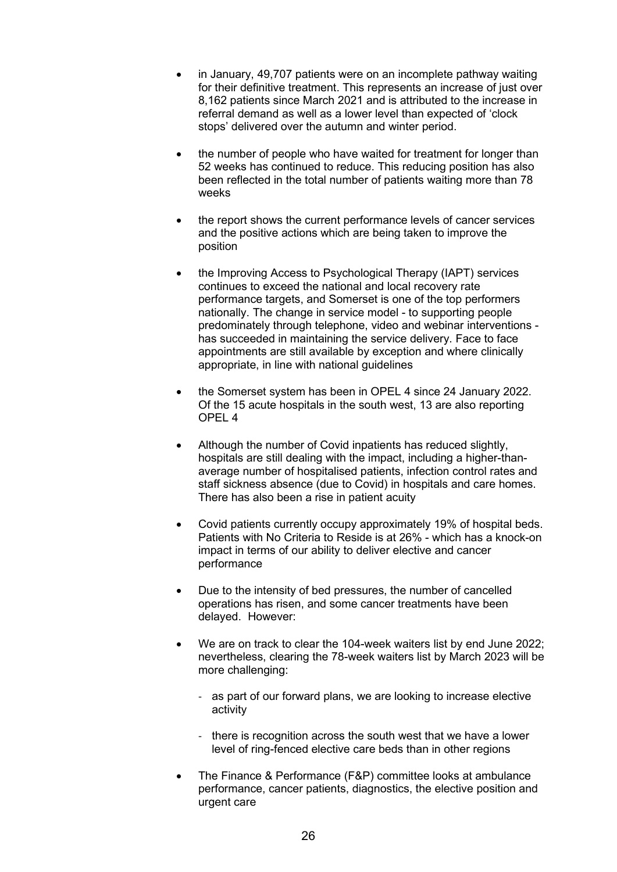- in January, 49,707 patients were on an incomplete pathway waiting for their definitive treatment. This represents an increase of just over 8,162 patients since March 2021 and is attributed to the increase in referral demand as well as a lower level than expected of 'clock stops' delivered over the autumn and winter period.
- the number of people who have waited for treatment for longer than 52 weeks has continued to reduce. This reducing position has also been reflected in the total number of patients waiting more than 78 weeks
- the report shows the current performance levels of cancer services and the positive actions which are being taken to improve the position
- the Improving Access to Psychological Therapy (IAPT) services continues to exceed the national and local recovery rate performance targets, and Somerset is one of the top performers nationally. The change in service model - to supporting people predominately through telephone, video and webinar interventions has succeeded in maintaining the service delivery. Face to face appointments are still available by exception and where clinically appropriate, in line with national guidelines
- the Somerset system has been in OPEL 4 since 24 January 2022. Of the 15 acute hospitals in the south west, 13 are also reporting OPEL 4
- Although the number of Covid inpatients has reduced slightly, hospitals are still dealing with the impact, including a higher-thanaverage number of hospitalised patients, infection control rates and staff sickness absence (due to Covid) in hospitals and care homes. There has also been a rise in patient acuity
- Covid patients currently occupy approximately 19% of hospital beds. Patients with No Criteria to Reside is at 26% - which has a knock-on impact in terms of our ability to deliver elective and cancer performance
- Due to the intensity of bed pressures, the number of cancelled operations has risen, and some cancer treatments have been delayed. However:
- We are on track to clear the 104-week waiters list by end June 2022; nevertheless, clearing the 78-week waiters list by March 2023 will be more challenging:
	- as part of our forward plans, we are looking to increase elective activity
	- there is recognition across the south west that we have a lower level of ring-fenced elective care beds than in other regions
- The Finance & Performance (F&P) committee looks at ambulance performance, cancer patients, diagnostics, the elective position and urgent care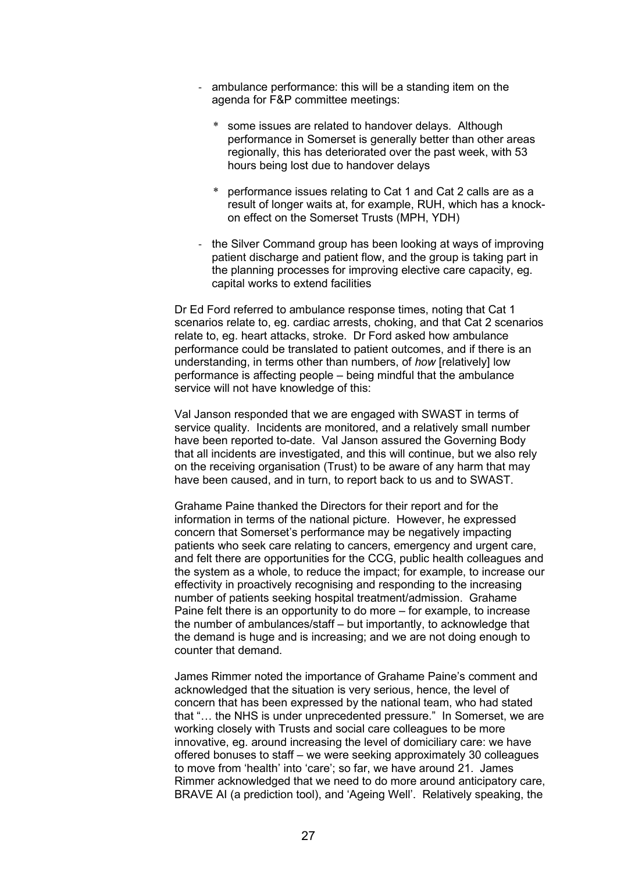- ambulance performance: this will be a standing item on the agenda for F&P committee meetings:
	- some issues are related to handover delays. Although performance in Somerset is generally better than other areas regionally, this has deteriorated over the past week, with 53 hours being lost due to handover delays
	- performance issues relating to Cat 1 and Cat 2 calls are as a result of longer waits at, for example, RUH, which has a knockon effect on the Somerset Trusts (MPH, YDH)
- the Silver Command group has been looking at ways of improving patient discharge and patient flow, and the group is taking part in the planning processes for improving elective care capacity, eg. capital works to extend facilities

 Dr Ed Ford referred to ambulance response times, noting that Cat 1 scenarios relate to, eg. cardiac arrests, choking, and that Cat 2 scenarios relate to, eg. heart attacks, stroke. Dr Ford asked how ambulance performance could be translated to patient outcomes, and if there is an understanding, in terms other than numbers, of *how* [relatively] low performance is affecting people – being mindful that the ambulance service will not have knowledge of this:

 Val Janson responded that we are engaged with SWAST in terms of service quality. Incidents are monitored, and a relatively small number have been reported to-date. Val Janson assured the Governing Body that all incidents are investigated, and this will continue, but we also rely on the receiving organisation (Trust) to be aware of any harm that may have been caused, and in turn, to report back to us and to SWAST.

 Grahame Paine thanked the Directors for their report and for the information in terms of the national picture. However, he expressed concern that Somerset's performance may be negatively impacting patients who seek care relating to cancers, emergency and urgent care, and felt there are opportunities for the CCG, public health colleagues and the system as a whole, to reduce the impact; for example, to increase our effectivity in proactively recognising and responding to the increasing number of patients seeking hospital treatment/admission. Grahame Paine felt there is an opportunity to do more – for example, to increase the number of ambulances/staff – but importantly, to acknowledge that the demand is huge and is increasing; and we are not doing enough to counter that demand.

 James Rimmer noted the importance of Grahame Paine's comment and acknowledged that the situation is very serious, hence, the level of concern that has been expressed by the national team, who had stated that "… the NHS is under unprecedented pressure." In Somerset, we are working closely with Trusts and social care colleagues to be more innovative, eg. around increasing the level of domiciliary care: we have offered bonuses to staff – we were seeking approximately 30 colleagues to move from 'health' into 'care'; so far, we have around 21. James Rimmer acknowledged that we need to do more around anticipatory care, BRAVE AI (a prediction tool), and 'Ageing Well'. Relatively speaking, the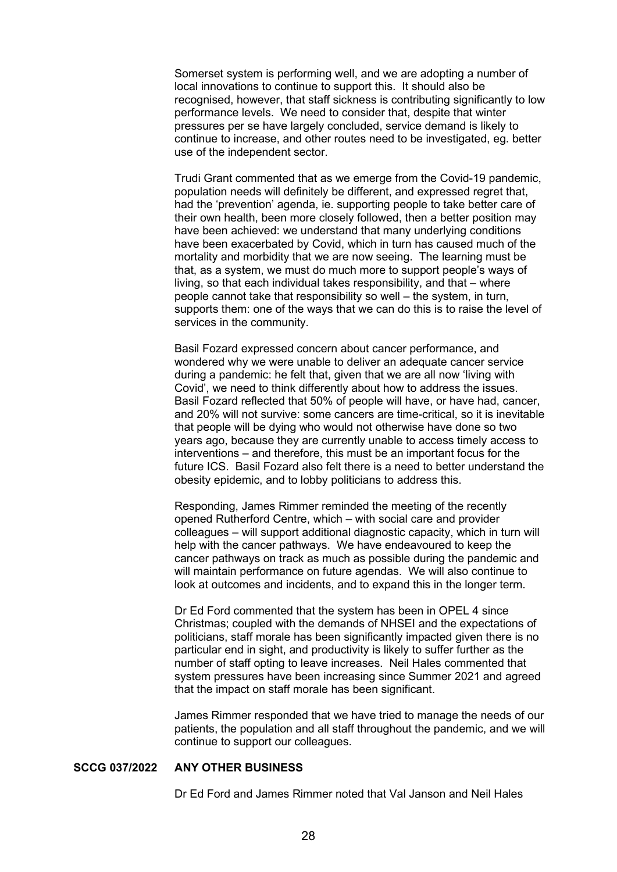Somerset system is performing well, and we are adopting a number of local innovations to continue to support this. It should also be recognised, however, that staff sickness is contributing significantly to low performance levels. We need to consider that, despite that winter pressures per se have largely concluded, service demand is likely to continue to increase, and other routes need to be investigated, eg. better use of the independent sector.

 Trudi Grant commented that as we emerge from the Covid-19 pandemic, population needs will definitely be different, and expressed regret that, had the 'prevention' agenda, ie. supporting people to take better care of their own health, been more closely followed, then a better position may have been achieved: we understand that many underlying conditions have been exacerbated by Covid, which in turn has caused much of the mortality and morbidity that we are now seeing. The learning must be that, as a system, we must do much more to support people's ways of living, so that each individual takes responsibility, and that – where people cannot take that responsibility so well – the system, in turn, supports them: one of the ways that we can do this is to raise the level of services in the community.

 Basil Fozard expressed concern about cancer performance, and wondered why we were unable to deliver an adequate cancer service during a pandemic: he felt that, given that we are all now 'living with Covid', we need to think differently about how to address the issues. Basil Fozard reflected that 50% of people will have, or have had, cancer, and 20% will not survive: some cancers are time-critical, so it is inevitable that people will be dying who would not otherwise have done so two years ago, because they are currently unable to access timely access to interventions – and therefore, this must be an important focus for the future ICS. Basil Fozard also felt there is a need to better understand the obesity epidemic, and to lobby politicians to address this.

 Responding, James Rimmer reminded the meeting of the recently opened Rutherford Centre, which – with social care and provider colleagues – will support additional diagnostic capacity, which in turn will help with the cancer pathways. We have endeavoured to keep the cancer pathways on track as much as possible during the pandemic and will maintain performance on future agendas. We will also continue to look at outcomes and incidents, and to expand this in the longer term.

 Dr Ed Ford commented that the system has been in OPEL 4 since Christmas; coupled with the demands of NHSEI and the expectations of politicians, staff morale has been significantly impacted given there is no particular end in sight, and productivity is likely to suffer further as the number of staff opting to leave increases. Neil Hales commented that system pressures have been increasing since Summer 2021 and agreed that the impact on staff morale has been significant.

 James Rimmer responded that we have tried to manage the needs of our patients, the population and all staff throughout the pandemic, and we will continue to support our colleagues.

#### **SCCG 037/2022 ANY OTHER BUSINESS**

Dr Ed Ford and James Rimmer noted that Val Janson and Neil Hales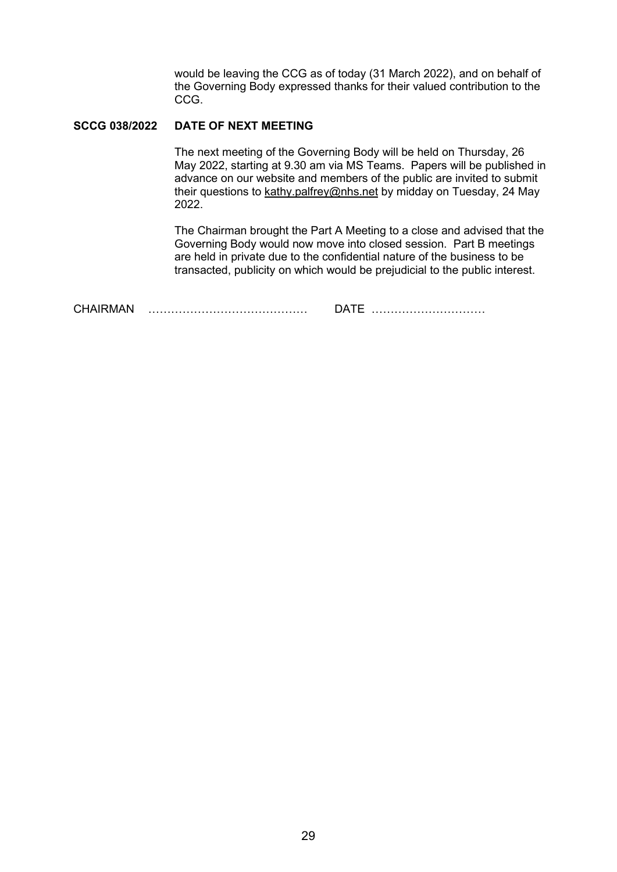would be leaving the CCG as of today (31 March 2022), and on behalf of the Governing Body expressed thanks for their valued contribution to the CCG.

#### **SCCG 038/2022 DATE OF NEXT MEETING**

 The next meeting of the Governing Body will be held on Thursday, 26 May 2022, starting at 9.30 am via MS Teams. Papers will be published in advance on our website and members of the public are invited to submit their questions to kathy.palfrey@nhs.net by midday on Tuesday, 24 May 2022.

 The Chairman brought the Part A Meeting to a close and advised that the Governing Body would now move into closed session. Part B meetings are held in private due to the confidential nature of the business to be transacted, publicity on which would be prejudicial to the public interest.

CHAIRMAN …………………………………… DATE …………………………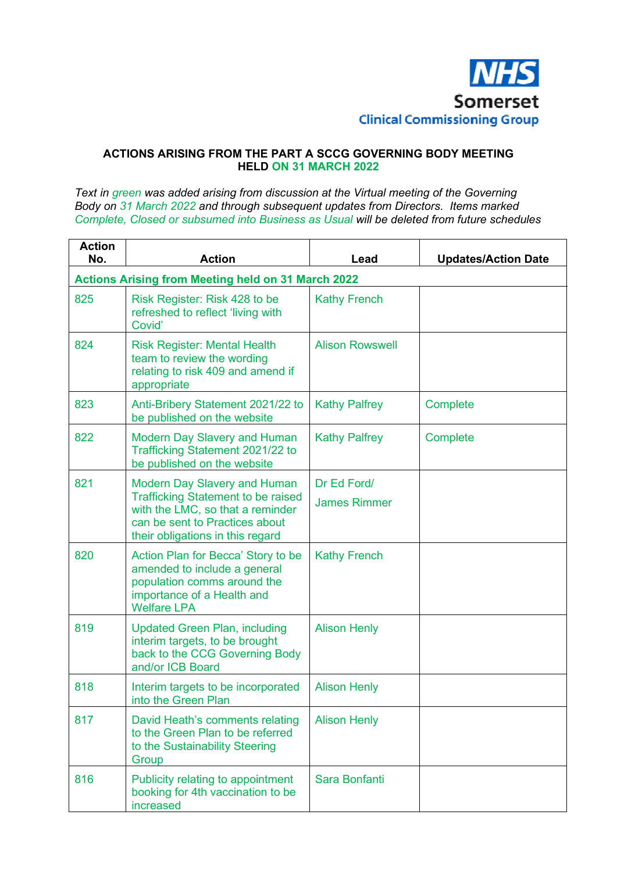

## **ACTIONS ARISING FROM THE PART A SCCG GOVERNING BODY MEETING HELD ON 31 MARCH 2022**

*Text in green was added arising from discussion at the Virtual meeting of the Governing Body on 31 March 2022 and through subsequent updates from Directors. Items marked Complete, Closed or subsumed into Business as Usual will be deleted from future schedules* 

| <b>Action</b><br>No. | <b>Action</b>                                                                                                                                                                              | Lead                   | <b>Updates/Action Date</b> |  |  |  |
|----------------------|--------------------------------------------------------------------------------------------------------------------------------------------------------------------------------------------|------------------------|----------------------------|--|--|--|
|                      | <b>Actions Arising from Meeting held on 31 March 2022</b>                                                                                                                                  |                        |                            |  |  |  |
| 825                  | Risk Register: Risk 428 to be<br>refreshed to reflect 'living with<br>Covid'                                                                                                               | <b>Kathy French</b>    |                            |  |  |  |
| 824                  | <b>Risk Register: Mental Health</b><br>team to review the wording<br>relating to risk 409 and amend if<br>appropriate                                                                      | <b>Alison Rowswell</b> |                            |  |  |  |
| 823                  | Anti-Bribery Statement 2021/22 to<br>be published on the website                                                                                                                           | <b>Kathy Palfrey</b>   | Complete                   |  |  |  |
| 822                  | <b>Modern Day Slavery and Human</b><br>Trafficking Statement 2021/22 to<br>be published on the website                                                                                     | <b>Kathy Palfrey</b>   | Complete                   |  |  |  |
| 821                  | <b>Modern Day Slavery and Human</b><br><b>Trafficking Statement to be raised</b><br>with the LMC, so that a reminder<br>can be sent to Practices about<br>their obligations in this regard | Dr Ed Ford/            |                            |  |  |  |
|                      |                                                                                                                                                                                            | <b>James Rimmer</b>    |                            |  |  |  |
| 820                  | Action Plan for Becca' Story to be<br>amended to include a general<br>population comms around the<br>importance of a Health and<br><b>Welfare LPA</b>                                      | <b>Kathy French</b>    |                            |  |  |  |
| 819                  | <b>Updated Green Plan, including</b><br>interim targets, to be brought<br>back to the CCG Governing Body<br>and/or ICB Board                                                               | <b>Alison Henly</b>    |                            |  |  |  |
| 818                  | Interim targets to be incorporated<br>into the Green Plan                                                                                                                                  | <b>Alison Henly</b>    |                            |  |  |  |
| 817                  | David Heath's comments relating<br>to the Green Plan to be referred<br>to the Sustainability Steering<br>Group                                                                             | <b>Alison Henly</b>    |                            |  |  |  |
| 816                  | Publicity relating to appointment<br>booking for 4th vaccination to be<br>increased                                                                                                        | Sara Bonfanti          |                            |  |  |  |